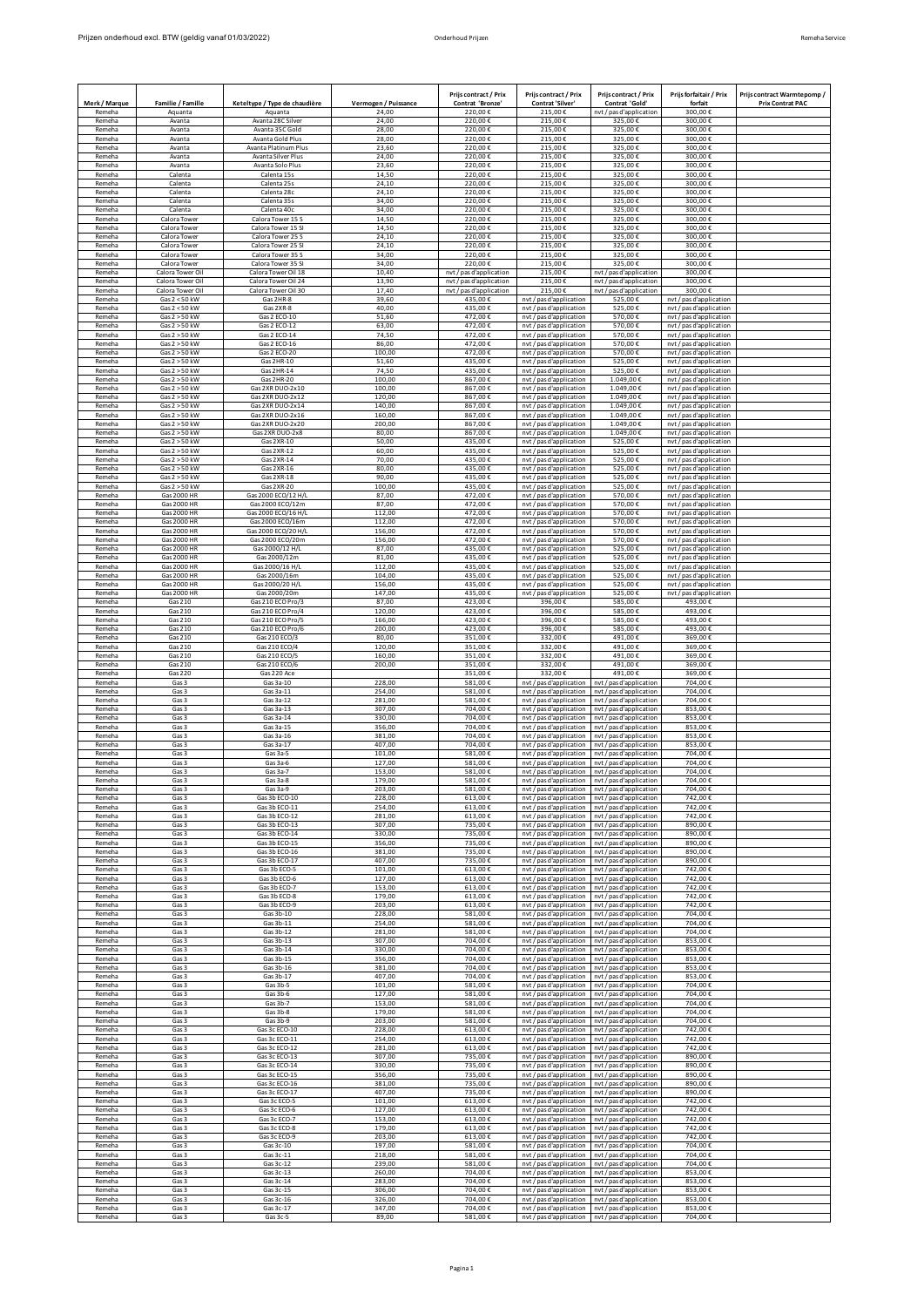|                  |                         |                                                |                      | Prijs contract / Prix         | Prijs contract / Prix                              | Prijs contract / Prix                              | Priis forfaitair / Prix | Prijs contract Warmtepomp/ |
|------------------|-------------------------|------------------------------------------------|----------------------|-------------------------------|----------------------------------------------------|----------------------------------------------------|-------------------------|----------------------------|
| Merk / Marque    | Familie / Famille       | Keteltype / Type de chaudière                  | Vermogen / Puissance | Contrat 'Bronze'              | Contrat 'Silver'                                   | Contrat 'Gold'                                     | forfait                 | <b>Prix Contrat PAC</b>    |
| Remeha           | Aquanta                 | Aquanta                                        | 24,00                | 220,00€                       | 215,00€                                            | nvt / pas d'application                            | 300,00€                 |                            |
| Remeha           | Avanta                  | Avanta 28C Silver                              | 24,00                | 220,00€                       | 215,00€                                            | 325,00€                                            | 300,00€                 |                            |
| Remeha           | Avanta                  | Avanta 35C Gold                                | 28,00                | 220,00€                       | 215,00€                                            | 325,00€                                            | 300,00€                 |                            |
| Remeha           | Avanta                  | Avanta Gold Plus                               | 28,00                | 220,00€                       | 215,00€                                            | 325,00€                                            | 300,00€                 |                            |
| Remeha           | Avanta                  | Avanta Platinum Plus                           | 23.60                | 220,00€                       | 215,00€                                            | 325.00€                                            | 300,00€                 |                            |
| Remeha           | Avanta                  | Avanta Silver Plus                             | 24,00                | 220,00€                       | 215,00€                                            | 325,00€                                            | 300,00€                 |                            |
| Remeha           | Avanta                  | Avanta Solo Plus                               | 23,60                | 220,00€                       | 215,00€                                            | 325,00€                                            | 300,00€                 |                            |
| Remeha           | Calenta                 | Calenta 15s                                    | 14,50                | 220,00€                       | 215,00€                                            | 325,00€                                            | 300,00€                 |                            |
| Remeha           | Calenta                 | Calenta 25s                                    | 24,10                | 220,00€                       | 215,00€                                            | 325,00€                                            | 300,00€                 |                            |
| Remeha           | Calenta                 | Calenta 28c                                    | 24,10                | 220,00€                       | 215,00€                                            | 325,00€                                            | 300,00€                 |                            |
| Remeha           | Calenta                 | Calenta 35s                                    | 34,00                | 220,00€                       | 215.00€                                            | 325,00€                                            | 300,00€                 |                            |
| Remeha           | Calenta                 | Calenta 40c                                    | 34,00                | 220,00€                       | 215,00€                                            | 325,00€                                            | 300,00€                 |                            |
| Remeha           | Calora Tower            | Calora Tower 15 S                              | 14,50                | 220,00€                       | 215,00€                                            | 325,00€                                            | 300,00€                 |                            |
| Remeha           | Calora Tower            | Calora Tower 15 SI                             | 14,50                | 220,00€                       | 215,00€                                            | 325,00€                                            | 300,00€                 |                            |
| Remeha           | Calora Towe             | Calora Tower 25 S                              | 24,10                | 220,00€                       | 215,00€                                            | 325,00€                                            | 300,00€                 |                            |
| Remeha           | Calora Towe             | Calora Tower 25 SI                             | 24.10                | 220.00€                       | 215.00€                                            | 325.00€                                            | 300.00€                 |                            |
| Remeha           | Calora Towe             | Calora Tower 35 S                              | 34,00                | 220,00€                       | 215.00€                                            | 325,00€                                            | 300,00€                 |                            |
| Remeha           | Calora Tower            | Calora Tower 35 SI                             | 34,00                | 220.00€                       | 215,00€                                            | 325.00€                                            | 300,00€                 |                            |
| Remeha           | Calora Tower Oil        | Calora Tower Oil 18                            | 10,40                | nvt / pas d'application       | 215,00€                                            | nvt / pas d'application                            | 300,00€                 |                            |
| Remeha           | Calora Tower Oil        | Calora Tower Oil 24                            | 13,90                | nvt / pas d'application       | 215,00€                                            | nvt / pas d'application                            | 300,00€                 |                            |
| Remeha           | Calora Tower Oil        | Calora Tower Oil 30                            | 17,40                | nvt / pas d'application       | 215,00€                                            | nvt / pas d'application                            | 300,00€                 |                            |
| Remeha           | Gas 2 < 50 kW           | Gas 2HR-8                                      | 39.60                | 435.00€                       | nvt / pas d'application                            | 525.00€                                            | nvt / pas d'application |                            |
| Remeha           | Gas 2 < 50 kW           | Gas 2XR-8                                      | 40,00                | 435,00€                       | nvt / pas d'application                            | 525,00€                                            | nvt / pas d'application |                            |
| Remeha           | Gas 2 > 50 kW           | Gas 2 ECO-10                                   | 51,60                | 472,00€                       | nvt / pas d'application                            | 570,00€                                            | nvt / pas d'application |                            |
| Remeha           | Gas 2 > 50 kW           | Gas 2 ECO-12                                   | 63,00                | 472,00€                       | nvt / pas d'application                            | 570,00€                                            | nvt / pas d'application |                            |
| Remeha           | Gas 2 > 50 kW           | Gas 2 ECO-14                                   | 74,50                | 472,00€                       | nvt / pas d'application                            | 570,00€                                            | nvt / pas d'application |                            |
| Remeha           | Gas 2 > 50 kW           | Gas 2 ECO-16                                   | 86,00                | 472,00€                       | nvt / pas d'application                            | 570,00€                                            | nvt / pas d'application |                            |
| Remeha           | Gas 2 > 50 kW           | Gas 2 ECO-20                                   | 100.00               | 472.00€                       | nvt / pas d'application                            | 570.00€                                            | nyt / pas d'application |                            |
| Remeha           | Gas 2 > 50 kW           | Gas 2HR-10                                     | 51,60                | 435,00€                       | nvt / pas d'application                            | 525,00€                                            | nvt / pas d'application |                            |
| Remeha           | Gas 2 > 50 kW           | Gas 2HR-14                                     | 74,50                | 435,00€                       | nvt / pas d'application                            | 525,00€                                            | nvt / pas d'application |                            |
| Remeha           | Gas 2 > 50 kW           | Gas 2HR-20                                     | 100,00               | 867,00€                       | nvt / pas d'application                            | 1.049,00€                                          | nvt / pas d'application |                            |
| Remeha           | Gas 2 > 50 kW           | Gas 2XR DUO-2x10                               | 100,00               | 867,00€                       | nvt / pas d'application                            | 1.049,00€                                          | nvt / pas d'application |                            |
| Remeha           | Gas 2 > 50 kW           | Gas 2XR DUO-2x12                               | 120,00               | 867,00€                       | nvt / pas d'application                            | 1.049,00€                                          | nvt / pas d'application |                            |
| Remeha           | Gas 2 > 50 kW           | Gas 2XR DUO-2x14                               | 140,00               | 867,00€                       | nvt / pas d'application                            | 1.049,00€                                          | nvt / pas d'application |                            |
| Remeha           | Gas 2 > 50 kW           | Gas 2XR DUO-2x16                               | 160,00               | 867,00€                       | nvt / pas d'application                            | 1.049,00€                                          | nvt / pas d'application |                            |
| Remeha           | Gas 2 > 50 kW           | Gas 2XR DUO-2x20                               | 200,00               | 867.00€                       | nvt / pas d'application                            | 1.049,00€                                          | nvt / pas d'application |                            |
| Remeha           | Gas 2 > 50 kW           | Gas 2XR DUO-2x8                                | 80,00                | 867,00€                       | nvt / pas d'application                            | 1.049,00€                                          | nvt / pas d'application |                            |
| Remeha           | Gas 2 > 50 kW           | Gas 2XR-10                                     | 50,00                | 435.00€                       | nvt / pas d'application                            | 525,00€                                            | nvt / pas d'application |                            |
| Remeha           | Gas 2 > 50 kW           | Gas 2XR-12                                     | 60,00                | 435,00€                       | nvt / pas d'application                            | 525,00€                                            | nvt / pas d'application |                            |
| Remeha           | Gas 2 > 50 kW           | Gas 2XR-14                                     | 70.00                | 435.00€                       | nyt / pas d'application                            | 525.00€                                            | nyt / pas d'application |                            |
| Remeha           | Gas 2 > 50 kW           | $Gas 2XR-16$                                   | 80.00                | 435,00€                       | nvt / pas d'application                            | 525.00€                                            | nvt / pas d'application |                            |
| Remeha           | Gas 2 > 50 kW           | Gas 2XR-18                                     | 90.00                | 435,00€                       | nvt / pas d'application                            | 525.00€                                            | nvt / pas d'application |                            |
| Remeha           | Gas 2 > 50 kW           | Gas 2XR-20                                     | 100,00               | 435,00€                       | nvt / pas d'application                            | 525,00€                                            | nvt / pas d'application |                            |
| Remeha           | Gas 2000 HR             | Gas 2000 ECO/12 H/L                            | 87,00                | 472,00€                       | nvt / pas d'application                            | 570,00€                                            | nvt / pas d'application |                            |
| Remeha           | Gas 2000 HR             | Gas 2000 ECO/12m                               | 87,00                | 472,00€                       | nvt / pas d'application                            | 570,00€                                            | nvt / pas d'application |                            |
| Remeha           | <b>Gas 2000 HR</b>      | Gas 2000 ECO/16 H/L                            | 112,00               | 472,00€                       | nvt / pas d'application                            | 570,00€                                            | nvt / pas d'application |                            |
| Remeha           | Gas 2000 HR             | Gas 2000 ECO/16m                               | 112,00               | 472,00€                       | nvt / pas d'application                            | 570,00€                                            | nvt / pas d'application |                            |
| Remeha           | Gas 2000 HR             | Gas 2000 ECO/20 H/L                            | 156,00               | 472,00€                       | nvt / pas d'application                            | 570,00€                                            | nvt / pas d'application |                            |
| Remeha           | Gas 2000 HR             | Gas 2000 ECO/20m                               | 156,00               | 472,00€                       | nvt / pas d'application                            | 570,00€                                            | nvt / pas d'application |                            |
| Remeha           | Gas 2000 HR             | Gas 2000/12 H/L                                | 87,00                | 435,00€                       | nvt / pas d'application                            | 525,00€                                            | nvt / pas d'application |                            |
| Remeha           | Gas 2000 HR             | Gas 2000/12m                                   | 81,00                | 435.00 €                      | nvt / pas d'application                            | 525,00€                                            | nvt / pas d'application |                            |
| Remeha           | Gas 2000 HR             | Gas 2000/16 H/L                                | 112,00               | 435,00€                       | nyt / pas d'application                            | 525,00€                                            | nvt / pas d'application |                            |
| Remeha           | Gas 2000 HR             | Gas 2000/16m                                   | 104,00               | 435,00€                       | nvt / pas d'application                            | 525,00€                                            | nvt / pas d'application |                            |
| Remeha           | Gas 2000 HR             | Gas 2000/20 H/L                                | 156,00               | 435,00€                       | nvt / pas d'application                            | 525,00€                                            | nvt / pas d'application |                            |
| Remeha           | Gas 2000 HR             | Gas 2000/20m                                   | 147,00               | 435,00€                       | nvt / pas d'application                            | 525,00€                                            | nvt / pas d'application |                            |
| Remeha           | Gas 210                 | Gas 210 ECO Pro/3                              | 87,00                | 423,00€                       | 396,00€                                            | 585,00€                                            | 493,00€                 |                            |
| Remeha           | Gas 210                 | Gas 210 ECO Pro/4                              | 120,00               | 423.00€                       | 396,00€                                            | 585.00€                                            | 493.00€                 |                            |
| Remeha           | Gas 210                 | Gas 210 ECO Pro/5                              | 166,00               | 423,00€                       | 396,00€                                            | 585,00€                                            | 493,00€                 |                            |
| Remeha           | Gas 210                 | Gas 210 ECO Pro/6                              | 200,00               | 423,00€                       | 396,00€                                            | 585.00€                                            | 493,00€                 |                            |
| Remeha           | Gas 210                 | Gas 210 ECO/3                                  | 80,00                | 351,00€                       | 332,00€                                            | 491,00€                                            | 369,00€                 |                            |
| Remeha           | Gas 210                 | Gas 210 ECO/4                                  | 120,00               | 351,00€                       | 332,00€                                            | 491,00€                                            | 369,00€                 |                            |
| Remeha           | Gas 210                 | Gas 210 ECO/5                                  | 160,00               | 351.00€                       | 332,00€                                            | 491,00€                                            | 369,00€                 |                            |
| Remeha           | Gas 210                 | Gas 210 ECO/6                                  | 200,00               | 351.00€                       | 332.00€                                            | 491.00€                                            | 369.00€                 |                            |
| Remeha<br>Remeha | <b>Gas 220</b><br>Gas 3 | Gas 220 Ace<br>Gas 3a-10                       | 228,00               | 351,00€<br>581.00€            | 332,00€<br>nvt / pas d'application                 | 491,00€<br>nvt / pas d'application                 | 369,00€<br>704,00€      |                            |
| Remeha           | Gas 3                   | Gas 3a-11                                      | 254,00               | 581,00€                       | nvt / pas d'application                            | nvt / pas d'application                            | 704,00€                 |                            |
| Remeha           | Gas 3                   | Gas 3a-12                                      | 281,00               | 581,00€                       | nvt / pas d'application                            | nvt / pas d'application                            | 704,00€                 |                            |
| Remeha           | Gas 3                   | Gas 3a-13                                      | 307,00               | 704,00€                       | nvt / pas d'application                            | nvt / pas d'application                            | 853,00€                 |                            |
| Remeha           | Gas 3                   | Gas 3a-14                                      | 330,00               | 704,00€                       | nvt / pas d'application                            | nyt / pas d'application                            | 853,00€                 |                            |
| Remeha           | Gas 3                   | Gas 3a-15                                      | 356,00               | 704,00€                       | nvt / pas d'application                            | nvt / pas d'application                            | 853,00€                 |                            |
| Remeha           | Gas 3                   | Gas 3a-16                                      | 381,00               | 704,00€                       | nvt / pas d'application                            | nvt / pas d'application                            | 853,00€                 |                            |
| Remeha           | Gas 3                   | Gas 3a-17                                      | 407,00               | 704,00€                       | nvt / pas d'application                            | nvt / pas d'application                            | 853,00€                 |                            |
| Remeha           | Gas 3                   | Gas 3a-5                                       | 101,00               | 581,00€                       | nvt / pas d'application                            | nvt / pas d'application                            | 704,00€                 |                            |
| Remeha           | Gas 3                   | Gas 3a-6                                       | 127,00               | 581,00€                       | nvt / pas d'application                            | nvt / pas d'application                            | 704,00€                 |                            |
| Remeha           | Gas 3                   | Gas 3a-7                                       | 153.00               | 581.00€                       | nvt / pas d'application                            | nvt / pas d'application                            | 704,00€                 |                            |
| Remeha           | Gas 3                   | Gas 3a-8                                       | 179.00               | 581.00€                       | nvt / pas d'application                            | nvt / pas d'application                            | 704.00€                 |                            |
| Remeha           | Gas 3                   | Gas 3a-9                                       | 203.00               | 581.00€                       | nvt / pas d'application                            | nvt / pas d'application                            | 704,00€                 |                            |
| Remeha           | Gas 3                   | Gas 3b ECO-10                                  | 228,00               | 613,00€                       | nvt / pas d'application                            | nvt / pas d'application                            | 742,00€                 |                            |
| Remeha           | Gas 3                   | Gas 3b ECO-11                                  | 254,00               | 613,00€                       | nvt / pas d'application                            | nvt / pas d'application                            | 742,00€                 |                            |
| Remeha           | Gas 3                   | Gas 3b ECO-12                                  | 281,00               | 613,00€                       | nvt / pas d'application                            | nvt / pas d'application                            | 742,00€                 |                            |
| Remeha           | Gas 3                   | Gas 3b ECO-13                                  | 307,00               | 735.00€                       | nyt / pas d'application                            | nvt / pas d'application                            | 890,00€                 |                            |
| Remeha           | Gas 3                   | Gas 3b ECO-14                                  | 330,00               | 735,00€                       | nvt / pas d'application                            | nvt / pas d'application                            | 890,00€                 |                            |
| Remeha           | Gas 3                   | Gas 3b FCO-15                                  | 356,00               | 735.00€                       | nvt / pas d'application                            | nvt / pas d'application                            | 890.00€                 |                            |
| Remeha<br>Remeha | Gas 3<br>Gas 3          | Gas 3b ECO-16<br>Gas 3b ECO-17<br>Gas 3b ECO-5 | 381,00<br>407,00     | 735,00€<br>735.00€            | nvt / pas d'application<br>nvt / pas d'application | nvt / pas d'application<br>nvt / pas d'application | 890,00€<br>890,00€      |                            |
| Remeha<br>Remeha | Gas 3<br>Gas 3          | Gas 3b ECO-6<br>Gas 3b ECO-7                   | 101,00<br>127,00     | 613,00€<br>613,00€<br>613.00€ | nvt / pas d'application<br>nvt / pas d'application | nvt / pas d'application<br>nyt / pas d'application | 742,00€<br>742,00€      |                            |
| Remeha<br>Remeha | Gas 3<br>Gas 3          | Gas 3b ECO-8                                   | 153,00<br>179,00     | 613,00€                       | nvt / pas d'application<br>nvt / pas d'application | nvt / pas d'application<br>nyt / pas d'application | 742,00€<br>742,00€      |                            |
| Remeha           | Gas 3                   | Gas 3b ECO-9                                   | 203,00               | 613,00€                       | nvt / pas d'application                            | nvt / pas d'application                            | 742,00€                 |                            |
| Remeha           | Gas 3                   | Gas 3b-10                                      | 228,00               | 581,00€                       | nvt / pas d'application                            | nvt / pas d'application                            | 704,00€                 |                            |
| Remeha           | Gas 3                   | Gas 3b-11                                      | 254,00               | 581,00€                       | nvt / pas d'application                            | nyt / pas d'application                            | 704,00€                 |                            |
| Remeha           | Gas 3                   | Gas 3b-12                                      | 281,00               | 581,00€                       | nvt / pas d'application                            | nvt / pas d'application                            | 704,00€                 |                            |
| Remeha           | Gas 3                   | Gas 3b-13                                      | 307,00               | 704,00€                       | nvt / pas d'application                            | nvt / pas d'application                            | 853,00€                 |                            |
| Remeha           | Gas 3                   | Gas 3b-14                                      | 330,00               | 704,00€                       | nvt / pas d'application                            | nyt / pas d'application                            | 853,00€                 |                            |
| Remeha           | Gas 3                   | Gas 3b-15                                      | 356,00               | 704,00€                       | nvt / pas d'application                            | nvt / pas d'application                            | 853,00€                 |                            |
| Remeha           | Gas 3                   | Gas 3b-16                                      | 381,00               | 704,00€                       | nvt / pas d'application                            | nvt / pas d'application                            | 853,00€                 |                            |
| Remeha           | Gas 3                   | Gas 3b-17                                      | 407,00               | 704,00€                       | nvt / pas d'application                            | nvt / pas d'application                            | 853.00€                 |                            |
| Remeha           | Gas 3                   | Gas 3b-5                                       | 101,00               | 581,00€                       | nvt / pas d'application                            | nvt / pas d'application                            | 704,00€                 |                            |
| Remeha           | Gas 3                   | Gas 3b-6                                       | 127,00               | 581.00€                       | nvt / pas d'application                            | nvt / pas d'application                            | 704,00€                 |                            |
| Remeha           | Gas 3                   | Gas 3b-7                                       | 153,00               | 581,00€                       | nvt / pas d'application                            | nyt / pas d'application                            | 704,00€                 |                            |
| Remeha           | Gas 3                   | Gas 3b-8                                       | 179,00               | 581,00€                       | nvt / pas d'application                            | nvt / pas d'application                            | 704,00€                 |                            |
| Remeha           | Gas 3                   | Gas 3b-9                                       | 203,00               | 581.00€                       | nvt / pas d'application                            | nvt / pas d'application                            | 704,00€                 |                            |
| Remeha           | Gas 3                   | Gas 3c ECO-10                                  | 228,00               | 613,00€                       | nvt / pas d'application                            | nvt / pas d'application                            | 742,00€                 |                            |
| Remeha           | Gas 3                   | Gas 3c ECO-11                                  | 254,00               | 613,00€                       | nvt / pas d'application                            | nvt / pas d'application                            | 742,00€                 |                            |
| Remeha           | Gas 3                   | Gas 3c ECO-12                                  | 281,00               | 613,00€                       | nvt / pas d'application                            | nvt / pas d'application                            | 742,00€                 |                            |
| Remeha           | Gas 3                   | Gas 3c ECO-13                                  | 307,00               | 735,00€                       | nvt / pas d'application                            | nyt / pas d'application                            | 890,00€                 |                            |
| Remeha           | Gas 3                   | Gas 3c ECO-14                                  | 330,00               | 735,00€                       | nvt / pas d'application                            | nvt / pas d'application                            | 890,00€                 |                            |
| Remeha           | Gas 3                   | Gas 3c ECO-15                                  | 356,00               | 735,00€                       | nvt / pas d'application                            | nvt / pas d'application                            | 890,00€                 |                            |
| Remeha           | Gas 3                   | Gas 3c ECO-16                                  | 381.00               | 735.00€                       | nvt / pas d'application                            | nyt / pas d'application                            | 890,00€                 |                            |
| Remeha           | Gas 3                   | Gas 3c ECO-17                                  | 407,00               | 735,00€                       | nvt / pas d'application                            | nvt / pas d'application                            | 890,00€                 |                            |
| Remeha           | Gas 3                   | Gas 3c ECO-5                                   | 101,00               | 613,00€                       | nvt / pas d'application                            | nvt / pas d'application                            | 742,00€                 |                            |
| Remeha           | Gas 3                   | Gas 3c ECO-6                                   | 127,00               | 613,00€                       | nvt / pas d'application                            | nvt / pas d'application                            | 742,00€                 |                            |
| Remeha           | Gas 3                   | Gas 3c ECO-7                                   | 153,00               | 613,00€                       | nvt / pas d'application                            | nvt / pas d'application                            | 742,00€                 |                            |
| Remeha           | Gas 3                   | Gas 3c ECO-8                                   | 179,00               | 613,00€                       | nvt / pas d'application                            | nvt / pas d'application                            | 742,00€                 |                            |
| Remeha           | Gas 3                   | Gas 3c ECO-9                                   | 203,00               | 613,00€                       | nvt / pas d'application                            | nyt / pas d'application                            | 742,00€                 |                            |
| Remeha           | Gas 3                   | Gas 3c-10                                      | 197,00               | 581,00€                       | nvt / pas d'application                            | nvt / pas d'application                            | 704,00€                 |                            |
| Remeha           | Gas 3                   | Gas 3c-11                                      | 218,00               | 581,00€                       | nvt / pas d'application                            | nvt / pas d'application                            | 704,00€                 |                            |
| Remeha           | Gas 3                   | Gas 3c-12                                      | 239,00               | 581,00€                       | nvt / pas d'application                            | nvt / pas d'application                            | 704,00€                 |                            |
| Remeha           | Gas 3                   | Gas 3c-13                                      | 260,00               | 704,00€                       | nvt / pas d'application                            | nvt / pas d'application                            | 853,00€                 |                            |
| Remeha           | Gas 3                   | Gas 3c-14                                      | 283.00               | 704,00€                       | nvt / pas d'application                            | nvt / pas d'application                            | 853.00€                 |                            |
| Remeha           | Gas 3                   | Gas 3c-15                                      | 306,00               | 704,00€                       | nvt / pas d'application                            | nvt / pas d'application                            | 853,00€                 |                            |
| Remeha           | Gas 3                   | Gas 3c-16                                      | 326,00               | 704,00€                       | nvt / pas d'application                            | nvt / pas d'application                            | 853,00€                 |                            |
| Remeha           | Gas 3                   | Gas 3c-17                                      | 347,00               | 704,00€                       | nvt / pas d'application                            | nyt / pas d'application                            | 853,00€                 |                            |
| Remeha           | Gas 3                   | Gas 3c-5                                       | 89,00                | 581,00€                       | nyt / pas d'application nyt / pas d'application    |                                                    | 704,00€                 |                            |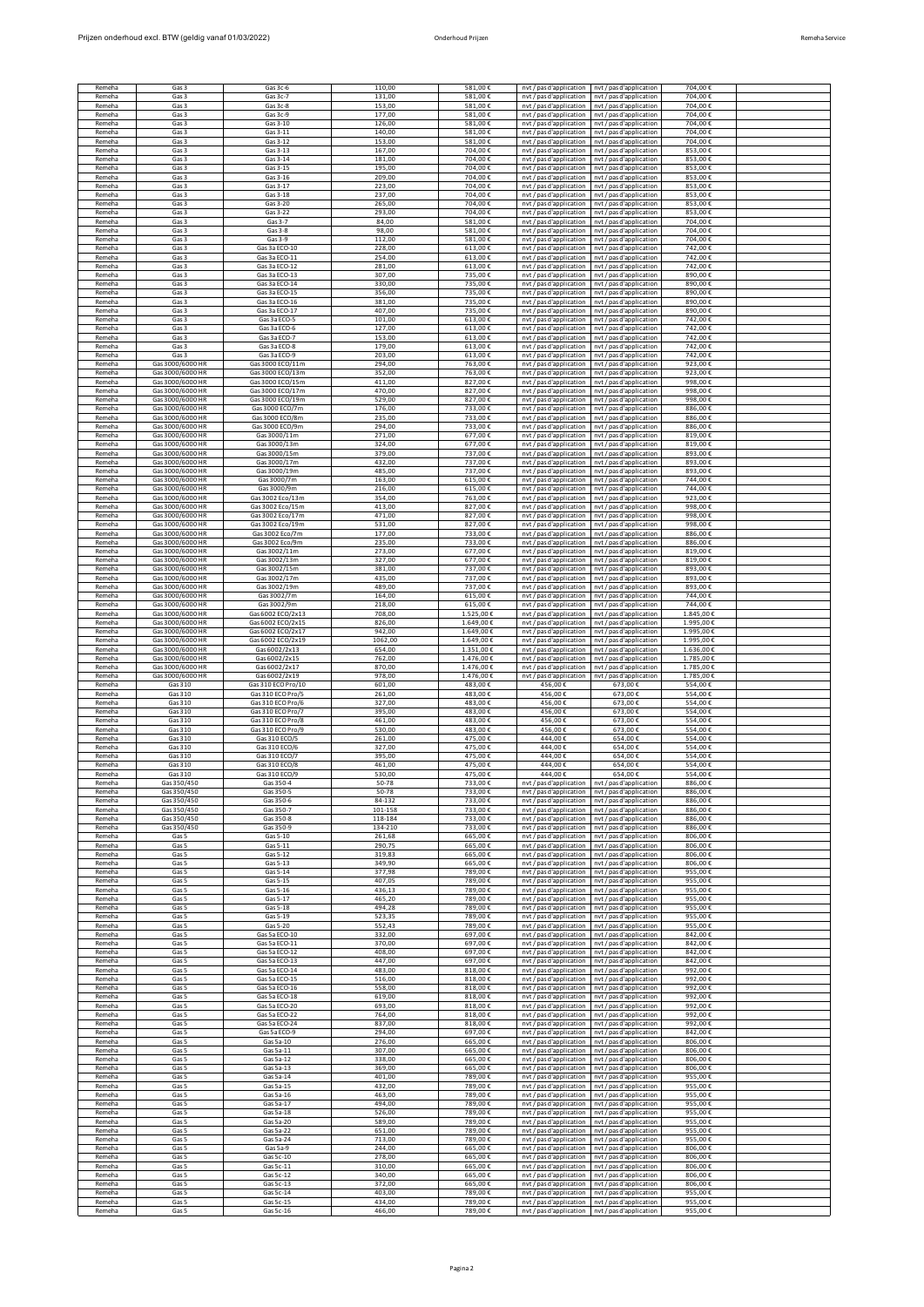| Prijzen onderhoud excl. BTW (geldig vanaf 01/03/2022) | Onderhoud Priizen | Remeha Service |
|-------------------------------------------------------|-------------------|----------------|

| Remeha           | Gas 3                                | Gas 3c-6                           | 110,00           | 581,00€            | nyt / pas d'application                            | nvt / pas d'application                            | 704,00€            |  |
|------------------|--------------------------------------|------------------------------------|------------------|--------------------|----------------------------------------------------|----------------------------------------------------|--------------------|--|
| Remeha           | Gas 3                                | Gas 3c-7                           | 131,00           | 581,00€            | nvt / pas d'application                            | nvt / pas d'application                            | 704,00€            |  |
| Remeha           | Gas 3                                | Gas 3c-8                           | 153,00           | 581,00€            | nvt / pas d'application                            | nvt / pas d'application                            | 704.00€            |  |
| Remeha           | Gas 3                                | Gas 3c-9                           | 177,00           | 581,00€            | nvt / pas d'application                            | nyt / pas d'application                            | 704,00€            |  |
| Remeha           | Gas 3                                | Gas 3-10                           | 126,00           | 581,00€            | nyt / pas d'application                            | nvt / pas d'applicatio                             | 704,00€            |  |
| Remeha<br>Remeha | Gas 3<br>Gas 3                       | Gas 3-11<br>Gas 3-12               | 140,00<br>153.00 | 581,00€<br>581.00€ | nvt / pas d'application                            | nvt / pas d'application<br>nyt / pas d'application | 704,00€<br>704.00€ |  |
| Remeha           | Gas 3                                | Gas 3-13                           | 167,00           | 704,00€            | nvt / pas d'application<br>nvt / pas d'application | nvt / pas d'application                            | 853,00€            |  |
| Remeha           | Gas 3                                | Gas 3-14                           | 181.00           | 704.00€            | nvt / pas d'application                            | nvt / pas d'application                            | 853,00€            |  |
| Remeha           | Gas 3                                | Gas 3-15                           | 195,00           | 704,00€            | nvt / pas d'application                            | nyt / pas d'application                            | 853,00€            |  |
| Remeha           | Gas 3                                | Gas 3-16                           | 209,00           | 704,00€            | nvt / pas d'application                            | nvt / pas d'application                            | 853,00€            |  |
| Remeha           | Gas 3                                | Gas 3-17                           | 223,00           | 704,00€            | nvt / pas d'application                            | nvt / pas d'application                            | 853,00€            |  |
| Remeha           | Gas 3                                | Gas 3-18                           | 237,00           | 704,00€            | nyt / pas d'application                            | nyt / pas d'application                            | 853.00€            |  |
| Remeha           | Gas 3                                | Gas 3-20                           | 265,00           | 704,00€            | nvt / pas d'application                            | nvt / pas d'application                            | 853,00€            |  |
| Remeha           | Gas 3                                | Gas 3-22                           | 293,00           | 704,00€            | nvt / pas d'application                            | nvt / pas d'application                            | 853,00€            |  |
| Remeha<br>Remeha | Gas 3<br>Gas 3                       | Gas 3-7<br>Gas $3-8$               | 84,00<br>98,00   | 581,00€<br>581,00€ | nvt / pas d'application                            | nyt / pas d'application<br>nvt / pas d'application | 704,00€<br>704,00€ |  |
| Remeha           | Gas 3                                | Gas 3-9                            | 112.00           | 581,00€            | nvt / pas d'application<br>nvt / pas d'application | nyt / pas d'application                            | 704,00€            |  |
| Remeha           | Gas 3                                | Gas 3a ECO-10                      | 228,00           | 613,00€            | nyt / pas d'application                            | nyt / pas d'application                            | 742,00€            |  |
| Remeha           | Gas 3                                | Gas 3a ECO-11                      | 254.00           | 613,00€            | nvt / pas d'application                            | nvt / pas d'application                            | 742,00€            |  |
| Remeha           | Gas 3                                | Gas 3a ECO-12                      | 281.00           | 613,00€            | nvt / pas d'application                            | nvt / pas d'application                            | 742,00€            |  |
| Remeha           | Gas 3                                | Gas 3a ECO-13                      | 307,00           | 735,00€            | nvt / pas d'application                            | nyt / pas d'application                            | 890,00€            |  |
| Remeha           | Gas 3                                | Gas 3a ECO-14                      | 330,00           | 735,00€            | nvt / pas d'application                            | nvt / pas d'application                            | 890,00€            |  |
| Remeha           | Gas 3                                | Gas 3a FCO-15                      | 356.00           | 735,00€            | nvt / pas d'application                            | nvt / pas d'application                            | 890.00€            |  |
| Remeha           | Gas 3                                | Gas 3a ECO-16                      | 381,00           | 735,00€            | nvt / pas d'application                            | nyt / pas d'application                            | 890,00€            |  |
| Remeha           | Gas 3                                | Gas 3a ECO-17                      | 407.00           | 735,00€            | nvt / pas d'application                            | nvt / pas d'application                            | 890,00€            |  |
| Remeha           | Gas 3                                | Gas 3a ECO-5                       | 101,00           | 613,00€            | nvt / pas d'application                            | nyt / pas d'application                            | 742,00€            |  |
| Remeha           | Gas 3                                | Gas 3a ECO-6                       | 127,00           | 613,00€            | nvt / pas d'application                            | nvt / pas d'application                            | 742,00€            |  |
| Remeha           | Gas 3                                | Gas 3a ECO-7                       | 153,00           | 613,00€            | nvt / pas d'application                            | nvt / pas d'application                            | 742,00€            |  |
| Remeha           | Gas 3                                | Gas 3a ECO-8                       | 179.00           | 613.00€            | nyt / pas d'application                            | nyt / pas d'application                            | 742.00€            |  |
| Remeha           | Gas 3                                | Gas 3a ECO-9                       | 203,00           | 613,00€            | nvt / pas d'application                            | nvt / pas d'application                            | 742,00€            |  |
| Remeha           | Gas 3000/6000 HR                     | Gas 3000 ECO/11m                   | 294.00           | 763,00€            | nvt / pas d'application                            | nvt / pas d'application                            | 923.00€            |  |
| Remeha           | Gas 3000/6000 HR                     | Gas 3000 ECO/13m                   | 352,00           | 763,00€            | nvt / pas d'application                            | nyt / pas d'application                            | 923,00€            |  |
| Remeha           | Gas 3000/6000 HR                     | Gas 3000 ECO/15m                   | 411,00           | 827,00€            | nvt / pas d'application                            | nvt / pas d'application                            | 998,00€            |  |
| Remeha           | Gas 3000/6000 HR                     | Gas 3000 ECO/17m                   | 470.00           | 827,00€            | nvt / pas d'application                            | nvt / pas d'application                            | 998,00€            |  |
| Remeha           | Gas 3000/6000 HR                     | Gas 3000 FCO/19m                   | 529,00           | 827.00€            | nyt / pas d'application                            | nyt / pas d'application                            | 998,00€            |  |
| Remeha           | Gas 3000/6000 HR                     | Gas 3000 ECO/7m                    | 176,00           | 733,00€            | nvt / pas d'application                            | nvt / pas d'application                            | 886,00€            |  |
| Remeha           | Gas 3000/6000 HR<br>Gas 3000/6000 HR | Gas 3000 ECO/8m<br>Gas 3000 ECO/9m | 235.00           | 733,00€            | nvt / pas d'application                            | nvt / pas d'application                            | 886,00€            |  |
| Remeha<br>Remeha | Gas 3000/6000 HR                     | Gas 3000/11m                       | 294,00<br>271,00 | 733,00€<br>677,00€ | nvt / pas d'application<br>nvt / pas d'application | nyt / pas d'application<br>nyt / pas d'application | 886,00€<br>819,00€ |  |
| Remeha           | Gas 3000/6000 HR                     | Gas 3000/13m                       | 324,00           | 677,00€            | nvt / pas d'application                            | nvt / pas d'application                            | 819,00€            |  |
| Remeha           | Gas 3000/6000 HF                     | Gas 3000/15m                       | 379.00           | 737,00€            | nyt / pas d'application                            | nyt / pas d'application                            | 893.00€            |  |
| Remeha           | Gas 3000/6000 HR                     | Gas 3000/17m                       | 432.00           | 737,00€            | nvt / pas d'application                            | nvt / pas d'application                            | 893.00€            |  |
| Remeha           | Gas 3000/6000 HR                     | Gas 3000/19m                       | 485.00           | 737,00€            | nvt / pas d'application                            | nvt / pas d'application                            | 893,00€            |  |
| Remeha           | Gas 3000/6000 HR                     | Gas 3000/7m                        | 163,00           | 615,00€            | nyt / pas d'application                            | nyt / pas d'application                            | 744,00€            |  |
| Remeha           | Gas 3000/6000 HR                     | Gas 3000/9m                        | 216,00           | 615,00€            | nvt / pas d'application                            | nvt / pas d'application                            | 744,00€            |  |
| Remeha           | Gas 3000/6000 HR                     | Gas 3002 Eco/13m                   | 354,00           | 763,00€            | nvt / pas d'application                            | nvt / pas d'application                            | 923,00€            |  |
| Remeha           | Gas 3000/6000 HR                     | Gas 3002 Eco/15m                   | 413,00           | 827.00€            | nyt / pas d'application                            | nyt / pas d'application                            | 998,00€            |  |
| Remeha           | Gas 3000/6000 HR                     | Gas 3002 Eco/17m                   | 471,00           | 827,00€            | nvt / pas d'application                            | nvt / pas d'application                            | 998.00€            |  |
| Remeha           | Gas 3000/6000 HR                     | Gas 3002 Eco/19m                   | 531.00           | 827,00€            | nvt / pas d'application                            | nvt / pas d'application                            | 998.00€            |  |
| Remeha           | Gas 3000/6000 HR                     | Gas 3002 Eco/7m                    | 177,00           | 733,00€            | nvt / pas d'application                            | nyt / pas d'application                            | 886,00€            |  |
| Remeha           | Gas 3000/6000 HR                     | Gas 3002 Eco/9m                    | 235,00           | 733,00€            | nvt / pas d'application                            | nvt / pas d'application                            | 886,00€            |  |
| Remeha           | Gas 3000/6000 HF                     | Gas 3002/11m                       | 273.00           | 677,00€            | nvt / pas d'application                            | nyt / pas d'application                            | 819.00€            |  |
| Remeha           | Gas 3000/6000 HR                     | Gas 3002/13m                       | 327,00           | 677,00€            | nyt / pas d'application                            | nyt / pas d'application                            | 819,00€            |  |
| Remeha           | Gas 3000/6000 HR                     | Gas 3002/15m                       | 381.00           | 737,00€            | nvt / pas d'application                            | nvt / pas d'application                            | 893,00€            |  |
| Remeha           | Gas 3000/6000 HR                     | Gas 3002/17m                       | 435,00           | 737,00€            | nvt / pas d'application                            | nvt / pas d'application                            | 893,00€            |  |
| Remeha           | Gas 3000/6000 HR                     | Gas 3002/19m                       | 489,00           | 737,00€            | nvt / pas d'application                            | nvt / pas d'application                            | 893,00€            |  |
| Remeha           | Gas 3000/6000 HR                     | Gas 3002/7m                        | 164,00           | 615,00€            | nvt / pas d'application                            | nvt / pas d'application                            | 744,00€            |  |
| Remeha           | Gas 3000/6000 HR                     | Gas 3002/9m                        | 218,00           | 615.00€            | nyt / pas d'application                            | nyt / pas d'application                            | 744,00€            |  |
| Remeha           | Gas 3000/6000 HR                     | Gas 6002 ECO/2x13                  | 708,00           | 1.525,00€          | nvt / pas d'application                            | nvt / pas d'application                            | 1.845,00€          |  |
| Remeha           | Gas 3000/6000 HR                     | Gas 6002 ECO/2x15                  | 826,00           | 1.649,00€          | nvt / pas d'application                            | nvt / pas d'application                            | 1.995,00 €         |  |
| Remeha           | Gas 3000/6000 HR                     | Gas 6002 ECO/2x17                  | 942,00           | 1.649,00€          | nvt / pas d'application                            | nyt / pas d'application                            | 1.995,00€          |  |
| Remeha           | Gas 3000/6000 HR                     | Gas 6002 ECO/2x19                  | 1062,00          | 1.649,00€          | nvt / pas d'application                            | nvt / pas d'application                            | 1.995,00 €         |  |
| Remeha           | Gas 3000/6000 HR                     | Gas 6002/2x13                      | 654,00           | 1.351,00€          | nvt / pas d'application                            | nvt / pas d'application                            | 1.636,00€          |  |
| Remeha           | Gas 3000/6000 HF                     | Gas 6002/2x15                      | 762.00           | 1.476,00€          |                                                    |                                                    | 1.785.00 €         |  |
|                  |                                      |                                    |                  |                    | nvt / pas d'application                            | nvt / pas d'application                            |                    |  |
| Remeha           | Gas 3000/6000 HR                     | Gas 6002/2x17                      | 870,00           | 1.476,00€          | nvt / pas d'application                            | nvt / pas d'application                            | 1.785,00 €         |  |
| Remeha           | Gas 3000/6000 HR                     | Gas 6002/2x19                      | 978.00           | 1.476,00€          | nvt / pas d'application                            | nvt / pas d'application                            | 1.785.004          |  |
| Remeha           | Gas 310                              | Gas 310 ECO Pro/10                 | 601,00           | 483,00€            | 456,00€                                            | 673,00€                                            | 554,00€            |  |
| Remeha           | Gas 310                              | Gas 310 ECO Pro/5                  | 261,00           | 483,00€            | 456,00€                                            | 673,00€                                            | 554,00€            |  |
| Remeha           | Gas 310                              | Gas 310 ECO Pro/6                  | 327,00           | 483,00€            | 456,00€                                            | 673,00€                                            | 554,00€            |  |
| Remeha           | Gas 310                              | Gas 310 ECO Pro/7                  | 395,00           | 483,00€            | 456,00€                                            | 673,00€                                            | 554,00€            |  |
| Remeha           | Gas 310                              | Gas 310 ECO Pro/8                  | 461,00           | 483,00€            | 456,00€                                            | 673,00€                                            | 554,00€            |  |
| Remeha           | Gas 310                              | Gas 310 ECO Pro/9                  | 530.00           | 483,00€            | 456,00€                                            | 673.00€                                            | 554,00€            |  |
| Remeha           | Gas 310                              | Gas 310 ECO/5                      | 261,00           | 475,00€            | 444,00€                                            | 654,00€                                            | 554,00€            |  |
| Remeha           | Gas 310                              | Gas 310 ECO/6                      | 327.00           | 475,00€            | 444,00€                                            | 654.00€                                            | 554,00€            |  |
| Remeha           | Gas 310                              | Gas 310 ECO/7                      | 395,00           | 475,00€            | 444,00€                                            | 654,00€                                            | 554,00€            |  |
| Remeh:           | Gas 31                               | Gas 310 FCO/8                      | 461.00           | 475.00             | 444.00                                             | 654.00+                                            | 554.004            |  |
| Remeha           | Gas 310                              | Gas 310 FCO/9                      | 530.00           | 475.00€            | 444.00€                                            | 654.00€                                            | 554.00€            |  |
| Remeha           | Gas 350/450                          | Gas 350-4                          | 50-78            | 733.00€            | nvt / pas d'application                            | nvt / pas d'application                            | 886.00€            |  |
| Remeha           | Gas 350/450                          | Gas 350-5                          | 50-78<br>84-132  | 733,00€            | nyt / pas d'application                            | nyt / pas d'application                            | 886,00€            |  |
| Remeha<br>Remeha | Gas 350/450<br>Gas 350/450           | Gas 350-6<br>Gas 350-7             | 101-158          | 733,00€<br>733,00€ | nvt / pas d'application<br>nvt / pas d'application | nvt / pas d'application<br>nvt / pas d'application | 886,00€<br>886,00€ |  |
| Remeha           | Gas 350/450                          | Gas 350-8                          | 118-184          | 733.00€            | nyt / pas d'application                            | nyt / pas d'application                            | 886.00€            |  |
| Remeha           | Gas 350/450                          | Gas 350-9                          | 134-210          | 733,00€            | nvt / pas d'application                            | nvt / pas d'application                            | 886,00€            |  |
| Remeha<br>Remeha | Gas 5<br>Gas 5                       | Gas 5-10<br>Gas 5-11               | 261,68<br>290,75 | 665,00€<br>665,00€ | nvt / pas d'application                            | nvt / pas d'application<br>nyt / pas d'application | 806,00€<br>806,00€ |  |
| Remeha           | Gas 5                                | Gas 5-12                           | 319.83           | 665,00€            | nvt / pas d'application<br>nvt / pas d'application | nvt / pas d'application                            | 806,00€            |  |
| Remeha           | Gas 5                                | Gas 5-13                           | 349,90           | 665,00€            | nvt / pas d'application                            | nyt / pas d'application                            | 806,00€            |  |
| Remeha           | Gas 5                                | Gas 5-14                           | 377,98           | 789,00€            | nyt / pas d'application                            | nyt / pas d'application                            | 955.00€            |  |
| Remeha           | Gas 5                                | Gas 5-15                           | 407.05           | 789,00€            | nvt / pas d'application                            | nvt / pas d'application                            | 955.00€            |  |
| Remeha           | Gas 5                                | Gas 5-16                           | 436,13           | 789,00€            | nvt / pas d'application                            | nvt / pas d'application                            | 955,00€            |  |
| Remeha<br>Remeha | Gas 5                                | Gas 5-17                           | 465,20           | 789,00€<br>789,00€ | nvt / pas d'application                            | nvt / pas d'application                            | 955,00€            |  |
| Remeha           | Gas 5<br>Gas 5                       | Gas 5-18<br>Gas 5-19               | 494,28<br>523.35 | 789,00€            | nvt / pas d'application<br>nyt / pas d'application | nvt / pas d'application<br>nyt / pas d'application | 955,00€<br>955.00€ |  |
| Remeha           | Gas 5                                | Gas 5-20                           | 552,43           | 789,00€            | nvt / pas d'application                            | nvt / pas d'application                            | 955,00€            |  |
| Remeha           | Gas 5                                | Gas 5a ECO-10                      | 332.00           | 697,00€            | nvt / pas d'application                            | nvt / pas d'application                            | 842,00€            |  |
| Remeha           | Gas 5                                | Gas 5a ECO-11                      | 370,00           | 697,00€            | nvt / pas d'application                            | nyt / pas d'application                            | 842,00€            |  |
| Remeha           | Gas 5                                | Gas 5a ECO-12                      | 408,00           | 697,00€            | nvt / pas d'application                            | nyt / pas d'application                            | 842,00€            |  |
| Remeha           | Gas 5                                | Gas 5a ECO-13                      | 447,00           | 697,00€            | nvt / pas d'application                            | nvt / pas d'application                            | 842,00€            |  |
| Remeha           | Gas 5                                | Gas 5a ECO-14                      | 483.00           | 818.00€            | nyt / pas d'application                            | nyt / pas d'application                            | 992.00€            |  |
| Remeha           | Gas 5                                | Gas 5a ECO-15                      | 516,00           | 818,00€            | nvt / pas d'application                            | nvt / pas d'application                            | 992,00€            |  |
| Remeha           | Gas 5                                | Gas 5a ECO-16                      | 558.00           | 818.00€            | nvt / pas d'application                            | nvt / pas d'application                            | 992.00€            |  |
| Remeha           | Gas 5                                | Gas 5a ECO-18                      | 619,00           | 818,00€            | nyt / pas d'application                            | nyt / pas d'application                            | 992,00€            |  |
| Remeha<br>Remeha | Gas 5                                | Gas 5a ECO-20                      | 693,00           | 818,00€            | nvt / pas d'application                            | nvt / pas d'application                            | 992,00€            |  |
| Remeha           | Gas 5<br>Gas 5                       | Gas 5a ECO-22<br>Gas 5a ECO-24     | 764,00<br>837,00 | 818,00€<br>818.00€ | nvt / pas d'application<br>nvt / pas d'application | nvt / pas d'application<br>nyt / pas d'application | 992,00€<br>992,00€ |  |
| Remeha           | Gas 5                                | Gas 5a ECO-9                       | 294,00           | 697,00€            | nvt / pas d'application                            | nvt / pas d'application                            | 842,00€            |  |
| Remeha           | Gas 5                                | Gas 5a-10                          | 276.00           | 665,00€            | nvt / pas d'application                            | nvt / pas d'application                            | 806.00€            |  |
| Remeha<br>Remeha | Gas 5<br>Gas 5                       | Gas 5a-11<br>Gas 5a-12             | 307,00<br>338,00 | 665,00€<br>665,00€ | nvt / pas d'application                            | nyt / pas d'application                            | 806,00€<br>806,00€ |  |
| Remeha           | Gas 5                                | Gas 5a-13                          | 369,00           | 665,00€            | nvt / pas d'application<br>nvt / pas d'application | nvt / pas d'application<br>nvt / pas d'application | 806,00€            |  |
| Remeha           | Gas 5                                | Gas 5a-14                          | 401.00           | 789.00€            | nyt / pas d'application                            | nyt / pas d'application                            | 955.00€            |  |
| Remeha           | Gas 5                                | Gas 5a-15                          | 432.00           | 789,00€            | nvt / pas d'application                            | nvt / pas d'application                            | 955.00€            |  |
| Remeha           | Gas 5                                | Gas 5a-16                          | 463.00           | 789,00€            | nvt / pas d'application                            | nvt / pas d'application                            | 955.00€            |  |
| Remeha           | Gas 5                                | Gas 5a-17                          | 494,00           | 789,00€            | nyt / pas d'application                            | nyt / pas d'application                            | 955,00€            |  |
| Remeha           | Gas 5                                | Gas 5a-18                          | 526,00           | 789,00€            | nvt / pas d'application                            | nvt / pas d'application                            | 955,00€            |  |
| Remeha           | Gas 5                                | Gas 5a-20                          | 589,00           | 789,00€            | nvt / pas d'application                            | nvt / pas d'application                            | 955,00€            |  |
| Remeha           | Gas 5                                | Gas 5a-22                          | 651,00           | 789,00€            | nvt / pas d'application                            | nvt / pas d'application                            | 955,00€            |  |
| Remeha<br>Remeha | Gas 5<br>Gas 5                       | Gas 5a-24<br>Gas 5a-9              | 713.00<br>244.00 | 789,00€<br>665,00€ | nvt / pas d'application                            | nvt / pas d'application<br>nvt / pas d'application | 955,00€<br>806.00€ |  |
| Remeha           | Gas 5                                | Gas 5c-10                          | 278,00           | 665,00€            | nvt / pas d'application<br>nvt / pas d'application | nyt / pas d'application                            | 806,00€            |  |
| Remeha           | Gas 5                                | Gas 5c-11                          | 310,00           | 665,00€            | nvt / pas d'application                            | nvt / pas d'application                            | 806.00€            |  |
| Remeha           | Gas 5                                | Gas 5c-12                          | 340.00           | 665.00€            | nvt / pas d'application                            | nyt / pas d'application                            | 806.00€            |  |
| Remeha           | Gas 5                                | Gas 5c-13                          | 372,00           | 665.00€            | nyt / pas d'application                            | nvt / pas d'application                            | 806.00€            |  |
| Remeha           | Gas 5                                | Gas 5c-14                          | 403.00           | 789.00€            | nvt / pas d'application                            | nvt / pas d'application                            | 955,00€            |  |
| Remeha           | Gas 5                                | Gas 5c-15                          | 434,00           | 789,00€            | nvt / pas d'application                            | nyt / pas d'application                            | 955,00€            |  |
| Remeha           | Gas 5                                | Gas 5c-16                          | 466,00           | 789,00€            | nvt / pas d'application                            | nvt / pas d'application                            | 955,00€            |  |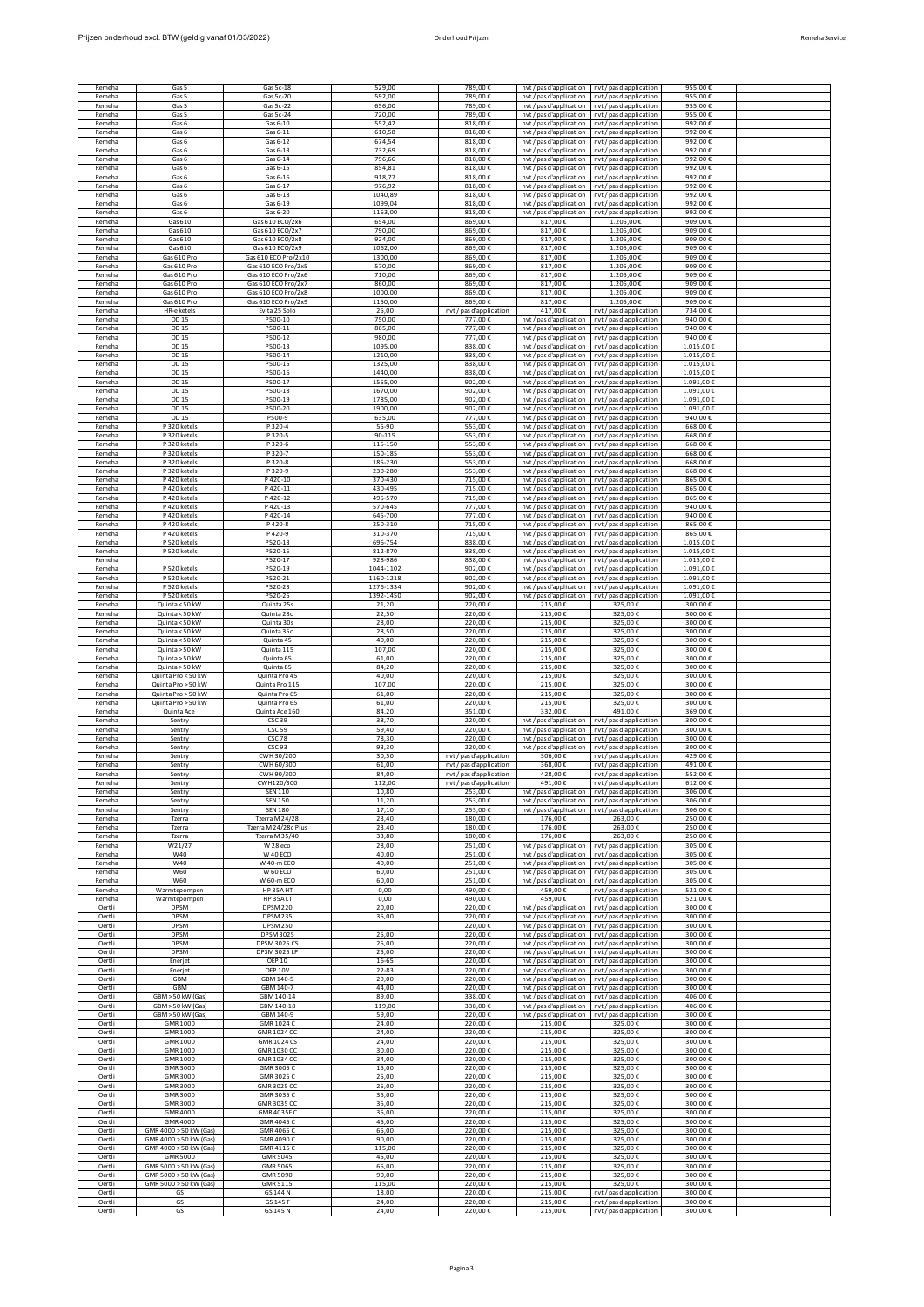| Remeha<br>Remeha |                                     |                                            |                    |                                    |                                                    |                                                    |                        |  |
|------------------|-------------------------------------|--------------------------------------------|--------------------|------------------------------------|----------------------------------------------------|----------------------------------------------------|------------------------|--|
|                  | Gas 5                               | Gas 5c-18                                  | 529,00             | 789,00€                            | nvt / pas d'application nvt / pas d'application    |                                                    | 955,00€                |  |
| Remeha           | Gas 5<br>Gas 5                      | Gas 5c-20<br>Gas 5c-22                     | 592,00<br>656,00   | 789,00€<br>789,00€                 | nvt / pas d'application                            | nvt / pas d'application<br>nvt / pas d'application | 955,00€<br>955,00€     |  |
| Remeha           | Gas 5                               | Gas 5c-24                                  | 720,00             | 789,00€                            | nvt / pas d'application<br>nyt / pas d'application | nvt / pas d'application                            | 955.00€                |  |
| Remeha           | Gas 6                               | Gas 6-10                                   | 552,42             | 818,00€                            | nvt / pas d'application                            | nvt / pas d'application                            | 992,00€                |  |
| Remeha           | Gas 6                               | Gas 6-11                                   | 610.58             | 818.00€                            | nvt / pas d'application                            | nvt / pas d'application                            | 992.00€                |  |
| Remeha           | Gas 6                               | Gas 6-12                                   | 674,54             | 818,00€                            | nvt / pas d'application                            | nyt / pas d'application                            | 992,00€                |  |
| Remeha           | Gas 6                               | Gas 6-13                                   | 732,69             | 818,00€                            | nvt / pas d'application                            | nyt / pas d'application                            | 992,00€                |  |
| Remeha<br>Remeha | Gas 6<br>Gas 6                      | Gas 6-14<br>Gas 6-15                       | 796,66<br>854.81   | 818,00€<br>818.00€                 | nvt / pas d'application<br>nvt / pas d'application | nvt / pas d'application<br>nyt / pas d'application | 992,00€<br>992.00€     |  |
| Remeha           | Gas 6                               | Gas 6-16                                   | 918,77             | 818.00€                            | nvt / pas d'application                            | nvt / pas d'application                            | 992.00€                |  |
| Remeha           | Gas 6                               | Gas 6-17                                   | 976.92             | 818.00€                            | nvt / pas d'application                            | nvt / pas d'application                            | 992.00€                |  |
| Remeha           | Gas 6                               | Gas 6-18                                   | 1040,89            | 818,00€                            | nyt / pas d'application                            | nvt / pas d'application                            | 992,00€                |  |
| Remeha           | Gas 6                               | Gas 6-19                                   | 1099,04            | 818,00€                            | nvt / pas d'application                            | nvt / pas d'application                            | 992,00€                |  |
| Remeha           | Gas 6                               | Gas 6-20                                   | 1163,00            | 818,00€                            | nvt / pas d'application                            | nvt / pas d'application                            | 992,00€                |  |
| Remeha           | Gas 610                             | Gas 610 ECO/2x6                            | 654.00             | 869.00€                            | 817.00€                                            | 1.205.00€                                          | 909.00€                |  |
| Remeha           | Gas 610                             | Gas 610 ECO/2x7                            | 790.00<br>924.00   | 869,00€                            | 817,00€                                            | 1.205,00€                                          | 909.00€<br>909.00 €    |  |
| Remeha<br>Remeha | Gas 610<br>Gas 610                  | Gas 610 ECO/2x8<br>Gas 610 ECO/2x9         | 1062,00            | 869,00€<br>869,00€                 | 817,00€<br>817,00€                                 | 1.205,00€<br>1.205,00€                             | 909,00€                |  |
| Remeha           | Gas 610 Pro                         | Gas 610 ECO Pro/2x10                       | 1300,00            | 869,00€                            | 817,00€                                            | 1.205,00€                                          | 909,00€                |  |
| Remeha           | Gas 610 Pro                         | Gas 610 ECO Pro/2x5                        | 570,00             | 869,00€                            | 817,00€                                            | 1.205,00€                                          | 909,00€                |  |
| Remeha           | Gas 610 Pro                         | Gas 610 ECO Pro/2x6                        | 710.00             | 869,00€                            | 817,00€                                            | 1.205,00€                                          | 909,00€                |  |
| Remeha           | Gas 610 Pro                         | Gas 610 ECO Pro/2x7                        | 860,00             | 869,00€                            | 817,00€                                            | 1.205,00€                                          | 909.00€                |  |
| Remeha           | Gas 610 Pro                         | Gas 610 ECO Pro/2x8                        | 1000,00            | 869.00€                            | 817,00€                                            | 1.205.00 $\in$                                     | 909.00€                |  |
| Remeha           | Gas 610 Pro<br>HR-e ketels          | Gas 610 ECO Pro/2x9                        | 1150,00            | 869,00€                            | 817,00€                                            | 1.205,00€                                          | 909,00€                |  |
| Remeha<br>Remeha | OD 15                               | Evita 25 Solo<br>P500-10                   | 25,00<br>750,00    | nvt / pas d'application<br>777.00€ | 417,00€<br>nyt / pas d'application                 | nvt / pas d'application<br>nvt / pas d'application | 734,00€<br>940.00€     |  |
| Remeha           | OD 15                               | P500-11                                    | 865,00             | 777,00€                            | nvt / pas d'application                            | nvt / pas d'application                            | 940,00€                |  |
| Remeha           | OD 15                               | P500-12                                    | 980.00             | 777.00€                            | nvt / pas d'application                            | nvt / pas d'application                            | 940.00€                |  |
| Remeha           | OD 15                               | P500-13                                    | 1095,00            | 838,00€                            | nyt / pas d'application                            | nyt / pas d'application                            | 1.015,00€              |  |
| Remeha           | OD 15                               | P500-14                                    | 1210,00            | 838,00€                            | nvt / pas d'application                            | nvt / pas d'application                            | 1.015,00€              |  |
| Remeha           | OD 15                               | P500-15                                    | 1325,00            | 838,00€                            | nvt / pas d'application                            | nvt / pas d'application                            | 1.015,00€              |  |
| Remeha<br>Remeha | OD 15<br>OD 15                      | P500-16<br>P500-17                         | 1440,00<br>1555,00 | 838.00€<br>902,00€                 | nyt / pas d'application<br>nvt / pas d'application | nyt / pas d'application<br>nyt / pas d'application | 1.015.00€<br>1.091,00€ |  |
| Remeha           | OD 15                               | P500-18                                    | 1670,00            | 902.00€                            | nvt / pas d'application                            | nvt / pas d'application                            | 1.091.00 f             |  |
| Remeha           | OD 15                               | P500-19                                    | 1785,00            | 902,00€                            | nyt / pas d'application                            | nyt / pas d'application                            | 1.091,00€              |  |
| Remeha           | OD 15                               | P500-20                                    | 1900,00            | 902,00€                            | nvt / pas d'application                            | nvt / pas d'application                            | 1.091,00€              |  |
| Remeha           | OD 15                               | P500-9                                     | 635,00             | 777,00€                            | nvt / pas d'application                            | nvt / pas d'application                            | 940.00€                |  |
| Remeha           | P 320 ketels                        | P 320-4                                    | 55-90              | 553.00€                            | nvt / pas d'application                            | nyt / pas d'application                            | 668.00€                |  |
| Remeha           | P 320 ketels                        | P 320-5                                    | 90-115             | 553,00€                            | nvt / pas d'application                            | nvt / pas d'application                            | 668,00€                |  |
| Remeha<br>Remeha | P 320 ketels<br>P 320 ketels        | P 320-6<br>P 320-7                         | 115-150<br>150-185 | 553,00€<br>553,00€                 | nvt / pas d'application<br>nvt / pas d'application | nvt / pas d'application                            | 668.00€<br>668,00€     |  |
| Remeha           | P 320 ketels                        | P 320-8                                    | 185-230            | 553,00€                            | nvt / pas d'application                            | nvt / pas d'application<br>nvt / pas d'application | 668,00€                |  |
| Remeha           | P 320 ketels                        | P 320-9                                    | 230-280            | 553,00€                            | nvt / pas d'application                            | nvt / pas d'application                            | 668,00€                |  |
| Remeha           | P 420 ketels                        | P420-10                                    | 370-430            | 715,00€                            | nvt / pas d'application                            | nyt / pas d'application                            | 865.00€                |  |
| Remeha           | P 420 ketels                        | P420-11                                    | 430-495            | 715,00€                            | nvt / pas d'application                            | nvt / pas d'application                            | 865,00€                |  |
| Remeha           | P 420 ketels                        | P420-12                                    | 495-570            | 715,00€                            | nvt / pas d'application                            | nvt / pas d'application                            | 865.00€                |  |
| Remeha           | P 420 ketels                        | P 420-13                                   | 570-645            | 777,00€                            | nvt / pas d'application                            | nyt / pas d'application                            | 940,00€                |  |
| Remeha           | P 420 ketels                        | P420-14                                    | 645-700            | 777,00€                            | nvt / pas d'application                            | nvt / pas d'application                            | 940,00€                |  |
| Remeha<br>Remeha | P 420 ketels<br>P 420 ketels        | P 420-8<br>P 420-9                         | 250-310<br>310-370 | 715,00€<br>715,00€                 | nvt / pas d'application<br>nvt / pas d'application | nvt / pas d'application<br>nvt / pas d'application | 865,00€<br>865.00€     |  |
| Remeha           | P 520 ketels                        | P520-13                                    | 696-754            | 838,00€                            | nvt / pas d'application                            | nvt / pas d'application                            | 1.015.00€              |  |
| Remeha           | P 520 ketels                        | P520-15                                    | 812-870            | 838,00€                            | nvt / pas d'application                            | nvt / pas d'application                            | 1.015,00€              |  |
| Remeha           |                                     | P520-17                                    | 928-986            | 838,00€                            | nvt / pas d'application                            | nvt / pas d'application                            | 1.015,00€              |  |
| Remeha           | P 520 ketels                        | P520-19                                    | 1044-1102          | 902,00€                            | nvt / pas d'application                            | nvt / pas d'application                            | 1.091,00€              |  |
| Remeha           | P 520 ketels                        | P520-21                                    | 1160-1218          | 902,00€                            | nvt / pas d'application                            | nvt / pas d'application                            | 1.091,00€              |  |
| Remeha           | P 520 ketels                        | P520-23                                    | 1276-1334          | 902,00€                            | nvt / pas d'application                            | nvt / pas d'application                            | 1.091,00€              |  |
| Remeha           | P 520 ketels                        | P520-25                                    | 1392-1450          | 902.00€                            | nvt / pas d'application                            | nvt / pas d'application                            | 1.091.00€              |  |
| Remeha           | Quinta<50 kW                        | Quinta 25s                                 | 21,20              | 220,00€                            | 215,00€                                            | 325,00€                                            | 300,00€                |  |
| Remeha<br>Remeha | Quinta<50 kW<br>Quinta<50 kW        | Quinta 28c<br>Quinta 30s                   | 22,50<br>28,00     | 220,00€<br>220,00€                 | 215,00€<br>215,00€                                 | 325,00€<br>325,00€                                 | 300,00€<br>300,00€     |  |
| Remeha           | Quinta<50 kW                        | Quinta 35c                                 | 28.50              | 220,00€                            | 215,00€                                            | 325,00€                                            | 300.00€                |  |
| Remeha           | Quinta<50 kW                        | Quinta 45                                  | 40,00              | 220,00€                            | 215,00€                                            | 325,00€                                            | 300,00€                |  |
| Remeha           | Quinta > 50 kW                      | Quinta 115                                 | 107.00             | 220,00€                            | 215,00€                                            | 325,00€                                            | 300.00€                |  |
| Remeha           | Quinta > 50 kW                      | Quinta 65                                  | 61,00              | 220,00€                            | 215,00€                                            | 325,00€                                            | 300,00€                |  |
| Remeha           | Quinta > 50 kW<br>Quinta Pro <50 kW | Quinta 85<br>Quinta Pro 45                 | 84,20              | 220,00€                            | 215,00€                                            | 325,00€                                            | 300,00€                |  |
| Remeha<br>Remeha | Quinta Pro > 50 kW                  | Quinta Pro 115                             | 40,00<br>107.00    | 220,00€<br>220,00€                 | 215,00€<br>215.00 €                                | 325,00€<br>325.00€                                 | 300,00€<br>300.00€     |  |
| Remeha           | Quinta Pro > 50 kW                  | Quinta Pro 65                              | 61,00              | 220,00€                            | 215,00€                                            | 325,00€                                            | 300,00€                |  |
| Remeha           | Quinta Pro > 50 kW                  | Quinta Pro 65                              | 61,00              | 220,00€                            | 215,00€                                            | 325,00€                                            | 300.00€                |  |
| Remeha           | Quinta Ace                          | Quinta Ace 160                             | 84,20              | 351,00€                            | 332,00€                                            | 491,00€                                            | 369,00€                |  |
| Remeha           |                                     |                                            | 38,70              | 220,00€                            | nvt / pas d'application                            | nvt / pas d'application                            | 300,00€                |  |
| Remeha           | Sentry                              | CSC <sub>39</sub>                          |                    |                                    |                                                    |                                                    |                        |  |
|                  | Sentry                              | <b>CSC 59</b>                              | 59,40              | 220,00€                            | nvt / pas d'application                            | nvt / pas d'application                            | 300,00€                |  |
| Remeha           | Sentry                              | CSC <sub>78</sub>                          | 78.30              | 220.00€                            | nvt / pas d'application                            | nvt / pas d'application                            | 300.00€                |  |
| Remeha           | Sentry                              | CSC <sub>93</sub>                          | 93.30              | 220.00€                            | nvt / pas d'application                            | nvt / pas d'application                            | 300.00€                |  |
| Remeha           | Sentry                              | CWH 30/200                                 | 30.50              | nvt / pas d'application            | 306.00€                                            | nvt / pas d'application                            | 429.00€                |  |
| Remeha           | Sentry                              | CWH 60/300                                 | 61,00              | nvt / pas d'application            | 368,00€                                            | nvt / pas d'application                            | 491,00€                |  |
| Remeha           | Sentry                              | CWH120/300                                 | 112,00             | nvt / pas d'application            | 491.00€                                            | nvt / pas d'application                            | 612,00€                |  |
| Remeha           | Sentry                              | <b>SEN 110</b>                             | 10.80              | 253.00€                            | nyt / pas d'application                            | nyt / pas d'application                            | 306.00€                |  |
| Remeha           | Sentry                              | <b>SEN 150</b>                             | 11.20              | 253.00€                            | nvt / pas d'application                            | nvt / pas d'application                            | 306.00€                |  |
| Remeha           | Sentry                              | <b>SEN 180</b>                             | 17,10              | 253.00€                            | nvt / pas d'application                            | nvt / pas d'application                            | 306.00€                |  |
| Remeha           | Tzerra                              | Tzerra M 24/28                             | 23.40              | 180,00€                            | 176,00€                                            | 263,00€                                            | 250,00€                |  |
| Remeha<br>Remeha | Tzerra<br>Tzerra                    | Tzerra M 24/28c Plus<br>Tzerra M 35/40     | 23,40<br>33,80     | 180,00€<br>180,00€                 | 176,00€<br>176,00€                                 | 263,00€<br>263,00€                                 | 250,00€<br>250,00€     |  |
| Remeha           | W21/27                              | W 28 eco                                   | 28.00              | 251,00€                            | nvt / pas d'application                            | nvt / pas d'application                            | 305.00€                |  |
| Remeha           | W40                                 | <b>W 40 ECO</b>                            | 40,00              | 251,00€                            | nvt / pas d'application                            | nvt / pas d'application                            | 305.00€                |  |
| Remeha           | W40                                 | W 40-m ECO                                 | 40,00              | 251,00€                            | nvt / pas d'application                            | nvt / pas d'application                            | 305.00€                |  |
| Remeha           | W60                                 | <b>W 60 ECO</b>                            | 60,00              | 251,00€                            | nvt / pas d'application                            | nvt / pas d'application                            | 305,00€                |  |
| Remeha<br>Remeha | W60                                 | W 60-m ECO                                 | 60,00<br>0.00      | 251,00€                            | nvt / pas d'application<br>459.00€                 | nvt / pas d'application                            | 305,00€<br>521,00€     |  |
| Remeha           | Warmtepompen<br>Warmtepompen        | HP35AHT<br>HP35ALT                         | 0.00               | 490,00€<br>490,00€                 | 459,00€                                            | nvt / pas d'application<br>nvt / pas d'application | 521,00€                |  |
| Oertli           | <b>DPSM</b>                         | <b>DPSM 220</b>                            | 20,00              | 220,00€                            | nvt / pas d'application                            | nvt / pas d'application                            | 300.00€                |  |
| Oertli           | <b>DPSM</b>                         | <b>DPSM 235</b>                            | 35,00              | 220,00€                            | nyt / pas d'application                            | nyt / pas d'application                            | 300,00€                |  |
| Oertli           | <b>DPSM</b>                         | <b>DPSM 250</b>                            |                    | 220,00€                            | nvt / pas d'application                            | nvt / pas d'application                            | 300,00€                |  |
| Oertli           | <b>DPSM</b>                         | DPSM 3025                                  | 25,00              | 220,00€                            | nvt / pas d'application                            | nvt / pas d'application                            | 300,00€                |  |
| Oertli<br>Oertli | <b>DPSM</b><br><b>DPSM</b>          | <b>DPSM 3025 CS</b><br><b>DPSM 3025 LP</b> | 25.00<br>25,00     | 220,00€<br>220,00€                 | nvt / pas d'application                            | nyt / pas d'application                            | 300.00€<br>300,00€     |  |
| Oertli           | Enerjet                             | <b>OEP 10</b>                              | $16 - 65$          | 220.00€                            | nvt / pas d'application<br>nvt / pas d'application | nvt / pas d'application<br>nvt / pas d'application | 300.00€                |  |
| Oertli           | Enerjet                             | OEP 10V                                    | 22-83              | 220,00€                            | nyt / pas d'application                            | nyt / pas d'application                            | 300,00€                |  |
| Oertli           | GBM                                 | GBM 140-5                                  | 29,00              | 220,00€                            | nvt / pas d'application                            | nyt / pas d'application                            | 300,00€                |  |
| Oertli           | GBM                                 | GBM 140-7                                  | 44,00              | 220,00€                            | nvt / pas d'application                            | nvt / pas d'application                            | 300,00€                |  |
| Oertli           | GBM > 50 kW (Gas)                   | GBM 140-14                                 | 89.00              | 338.00€                            | nvt / pas d'application                            | nvt / pas d'application                            | 406.00€                |  |
| Oertli<br>Oertli | GBM > 50 kW (Gas)                   | GBM 140-18<br>GBM 140-9                    | 119,00             | 338,00€<br>220.00€                 | nvt / pas d'application                            | nyt / pas d'application                            | 406,00€<br>300.00€     |  |
| Oertli           | GBM > 50 kW (Gas)<br>GMR 1000       | GMR 1024 C                                 | 59,00<br>24,00     | 220,00€                            | nvt / pas d'application<br>215,00€                 | nvt / pas d'application<br>325,00€                 | 300,00€                |  |
| Oertli           | GMR 1000                            | GMR 1024 CC                                | 24,00              | 220,00€                            | 215,00€                                            | 325,00€                                            | 300,00€                |  |
| Oertli           | GMR 1000                            | GMR 1024 CS                                | 24,00              | 220,00€                            | 215,00€                                            | 325,00€                                            | 300,00€                |  |
| Oertli           | GMR 1000                            | GMR 1030 CC                                | 30.00              | 220.00€                            | 215,00€                                            | 325.00€                                            | 300.00€                |  |
| Oertli           | GMR 1000                            | GMR 1034 CC                                | 34,00              | 220.00€                            | 215,00€                                            | 325,00€                                            | 300.00€                |  |
| Oertli           | GMR 3000                            | GMR 3005 C                                 | 15,00              | 220.00€                            | 215,00€                                            | 325,00€                                            | 300.00€                |  |
| Oertli           | GMR 3000                            | GMR 3025 C                                 | 25,00              | 220,00€                            | 215,00€                                            | 325,00€                                            | 300,00€                |  |
| Oertli<br>Oertli | GMR 3000<br>GMR 3000                | GMR 3025 CC<br>GMR 3035 C                  | 25,00<br>35,00     | 220,00€<br>220,00€                 | 215,00€<br>215,00€                                 | 325,00€<br>325,00€                                 | 300,00€<br>300,00€     |  |
| Oertli           | GMR 3000                            | GMR 3035 CC                                | 35.00              | 220.00€                            | 215.00€                                            | 325.00€                                            | 300.00€                |  |
| Oertli           | GMR 4000                            | <b>GMR 4035E C</b>                         | 35,00              | 220,00€                            | 215,00€                                            | 325,00€                                            | 300.00€                |  |
| Oertli           | GMR 4000                            | GMR 4045 C                                 | 45,00              | 220,00€                            | 215,00€                                            | 325,00€                                            | 300.00€                |  |
| Oertli           | GMR 4000 > 50 kW (Gas)              | GMR 4065 C                                 | 65,00              | 220,00€                            | 215,00€                                            | 325,00€                                            | 300,00€                |  |
| Oertli<br>Oertli | GMR 4000 > 50 kW (Gas)              | GMR 4090 C<br>GMR 4115 C                   | 90,00              | 220,00€<br>220.00€                 | 215,00€                                            | 325,00€                                            | 300,00€                |  |
| Oertli           | GMR 4000 > 50 kW (Gas)<br>GMR 5000  | GMR 5045                                   | 115,00<br>45.00    | 220,00€                            | 215,00€<br>215,00€                                 | 325,00€<br>325,00€                                 | 300,00€<br>300.00€     |  |
| Oertli           | GMR 5000 > 50 kW (Gas)              | <b>GMR 5065</b>                            | 65,00              | 220.00€                            | 215,00€                                            | 325,00€                                            | 300.00€                |  |
| Oertli           | GMR 5000 > 50 kW (Gas)              | GMR 5090                                   | 90,00              | 220.00€                            | 215,00€                                            | 325,00€                                            | 300.00€                |  |
| Oertli           | GMR 5000 > 50 kW (Gas)              | GMR 5115                                   | 115,00             | 220,00€                            | 215,00€                                            | 325,00€                                            | 300,00€                |  |
| Oertli<br>Oertli | GS<br>GS                            | GS 144 N<br>GS 145 F                       | 18,00<br>24.00     | 220,00€<br>220.00€                 | 215,00€<br>215.00€                                 | nvt / pas d'application<br>nyt / pas d'application | 300,00€<br>300.00€     |  |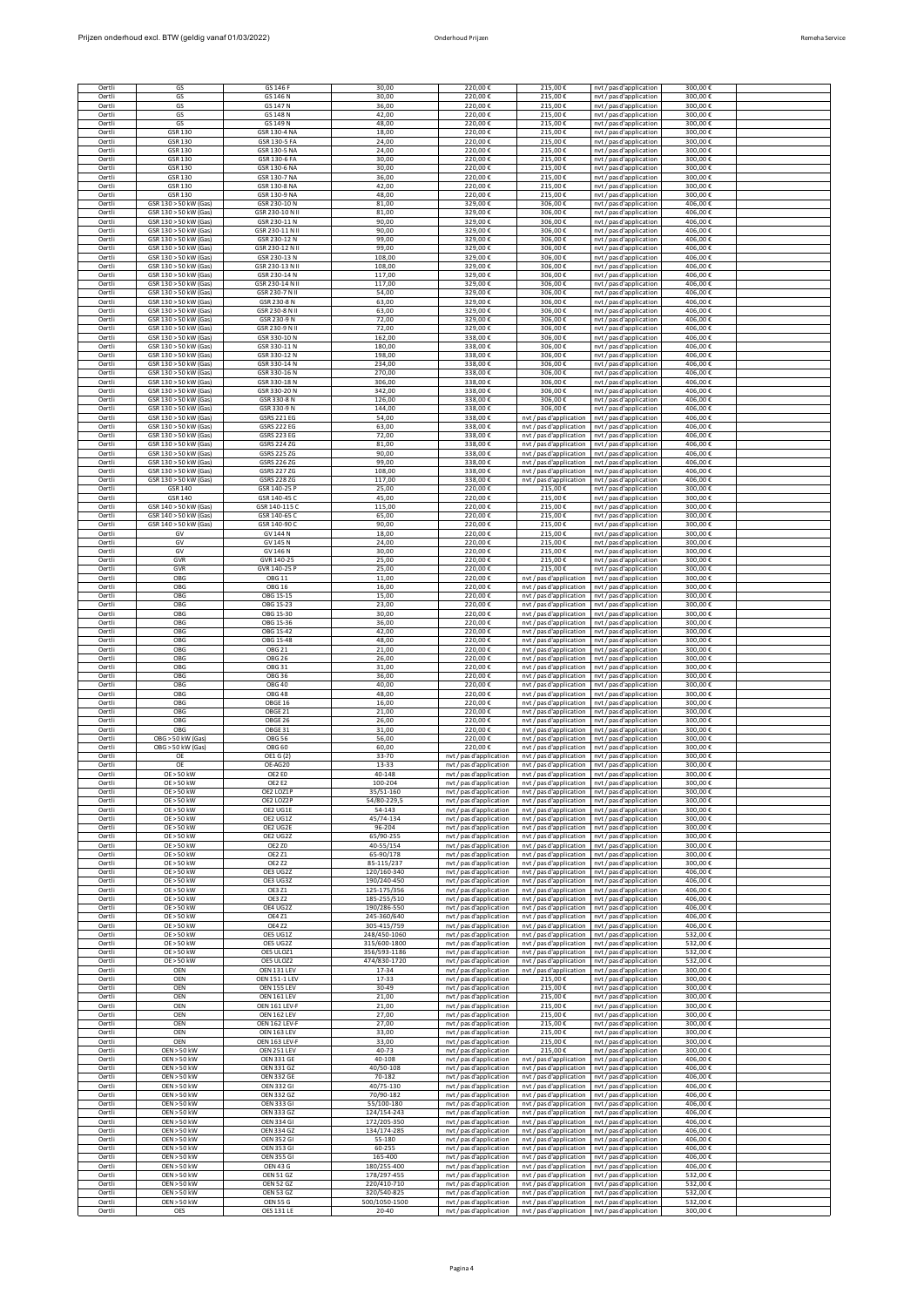| Prijzen onderhoud excl. BTW (geldig vanaf 01/03/2022) | Onderhoud Priizen | Remeha Service |
|-------------------------------------------------------|-------------------|----------------|

| <b>Remeba Service</b> |  |
|-----------------------|--|
|                       |  |

| Oertli                     | GS                                             | GS 146 F                                 | 30,00            | 220.00€                 | 215,00€                                            | nvt / pas d'application                            | 300,00€            |  |
|----------------------------|------------------------------------------------|------------------------------------------|------------------|-------------------------|----------------------------------------------------|----------------------------------------------------|--------------------|--|
| Oertli                     | GS                                             | GS 146 N                                 | 30,00            | 220.00 €                | 215.00€                                            | nvt / pas d'application                            | 300,00€            |  |
| Oertli                     | GS                                             | GS 147 N                                 | 36.00            | 220,00€                 | 215,00€                                            | nvt / pas d'application                            | 300,00€            |  |
| Oertli                     | GS                                             | GS 148 N                                 | 42,00            | 220.00€                 | 215,00€                                            | nvt / pas d'application                            | 300,00€            |  |
| Oertli                     | GS                                             | GS 149 N                                 | 48,00            | 220,00€                 | 215,00€                                            | nvt / pas d'application                            | 300,00€            |  |
| Oertli                     | GSR 130                                        | GSR 130-4 NA                             | 18,00            | 220,00€                 | 215,00€                                            | nvt / pas d'application                            | 300,00€            |  |
| Oertli<br>Oertli           | GSR 130<br>GSR 130                             | GSR 130-5 FA<br>GSR 130-5 NA             | 24,00<br>24,00   | 220,00€<br>220.00 €     | 215.00€<br>$215.00 \text{ } \in$                   | nvt / pas d'application                            | 300,00€<br>300.00  |  |
| Oertli                     | GSR 130                                        | GSR 130-6 FA                             | 30.00            | 220,00€                 | 215,00€                                            | nyt / pas d'application                            | 300.00€            |  |
| Oertli                     | GSR 130                                        | GSR 130-6 NA                             | 30.00            | 220.00 €                | 215.00€                                            | nvt / pas d'application                            | 300.00€            |  |
| Oertli                     | GSR 130                                        | GSR 130-7 NA                             | 36,00            | 220,00€                 | 215,00€                                            | nvt / pas d'application<br>nvt / pas d'application | 300,00€            |  |
| Oertli                     | GSR 130                                        | GSR 130-8 NA                             | 42,00            | 220,00€                 | 215,00€                                            | nvt / pas d'application                            | 300,00€            |  |
| Oertli                     | GSR 130                                        | GSR 130-9 NA                             | 48,00            | 220,00€                 | 215,00€                                            | nvt / pas d'application                            | 300,00€            |  |
| Oertli                     | GSR 130 > 50 kW (Gas)                          | GSR 230-10 N                             | 81.00            | 329.00€                 | 306,00€                                            | nyt / pas d'application                            | 406.00€            |  |
| Oertli                     | GSR 130 > 50 kW (Gas)                          | GSR 230-10 N II                          | 81,00            | 329,00€                 | 306,00€                                            | nvt / pas d'application                            | 406,00€            |  |
| Oertli                     | GSR 130 > 50 kW (Gas)                          | GSR 230-11 N                             | 90,00            | 329.00 €                | 306,00€                                            | nvt / pas d'application                            | 406,00€            |  |
| Oertli                     | GSR 130 > 50 kW (Gas)                          | GSR 230-11 N II                          | 90,00            | 329,00€                 | 306,00€                                            | nvt / pas d'application                            | 406,00€            |  |
| Oertli                     | GSR 130 > 50 kW (Gas)                          | GSR 230-12 N                             | 99,00            | 329,00€                 | 306,00€                                            | nvt / pas d'application                            | 406,00€            |  |
| Oertli                     | GSR 130 > 50 kW (Gas)                          | GSR 230-12 N II                          | 99,00            | 329,00€                 | 306,00€                                            | nvt / pas d'application                            | 406,00€            |  |
| Oertli                     | GSR 130 > 50 kW (Gas)                          | GSR 230-13 N                             | 108.00           | 329,00€                 | 306.00€                                            | nvt / pas d'application                            | 406.00€            |  |
| Oertli                     | GSR 130 > 50 kW (Gas)                          | GSR 230-13 N II                          | 108,00           | 329,00€                 | 306,00€                                            | nvt / pas d'application                            | 406,00€            |  |
| Oertli                     | GSR 130 > 50 kW (Gas)                          | GSR 230-14 N                             | 117.00           | 329.00€                 | 306,00€                                            | nvt / pas d'application                            | 406,00€            |  |
| Oertli                     | GSR 130 > 50 kW (Gas)                          | GSR 230-14 N II                          | 117,00           | 329,00€                 | 306,00€                                            | nyt / pas d'application                            | 406,00€            |  |
| Oertli                     | GSR 130 > 50 kW (Gas)                          | GSR 230-7 N II                           | 54,00            | 329,00€                 | 306,00€                                            | nvt / pas d'application                            | 406,00€            |  |
| Oertli                     | GSR 130 > 50 kW (Gas)                          | GSR 230-8 N                              | 63,00            | 329.00€                 | 306,00€                                            | nvt / pas d'application                            | 406,00€            |  |
| Oertli                     | GSR 130 > 50 kW (Gas)                          | GSR 230-8 N II                           | 63.00            | 329,00€                 | 306,00€                                            | nvt / pas d'application                            | 406,00€            |  |
| Oertli                     | GSR 130 > 50 kW (Gas)                          | GSR 230-9 N                              | 72,00            | 329.00€                 | 306,00€                                            | nvt / pas d'application                            | 406.00€            |  |
| Oertli                     | GSR 130 > 50 kW (Gas)                          | GSR 230-9 N II                           | 72,00            | 329.00€                 | 306.00€                                            | nvt / pas d'application                            | 406.00€            |  |
| Oertli                     | GSR 130 > 50 kW (Gas)                          | GSR 330-10 N                             | 162,00           | 338,00€                 | 306,00€                                            | nyt / pas d'application                            | 406,00€            |  |
| Oertli                     | GSR 130 > 50 kW (Gas)                          | GSR 330-11 N                             | 180,00           | 338,00€                 | 306,00€                                            | nvt / pas d'application                            | 406,00€            |  |
| Oertli                     | GSR 130 > 50 kW (Gas)                          | GSR 330-12 N                             | 198,00           | 338,00€                 | 306,00€                                            | nvt / pas d'application                            | 406,00€            |  |
| Oertli                     | GSR 130 > 50 kW (Gas)                          | GSR 330-14 N                             | 234.00           | 338.00€                 | 306.00€                                            | nyt / pas d'application                            | 406.00€            |  |
| Oertli                     | GSR 130 > 50 kW (Gas)                          | GSR 330-16 N                             | 270.00           | 338,00€                 | 306,00€                                            | nvt / pas d'application                            | 406,00€            |  |
| Oertli                     | GSR 130 > 50 kW (Gas)<br>GSR 130 > 50 kW (Gas) | GSR 330-18 N<br>GSR 330-20 N             | 306,00           | 338,00€                 | 306,00€                                            | nvt / pas d'application                            | 406,00€            |  |
| Oertli<br>Oertli           | GSR 130 > 50 kW (Gas)                          | GSR 330-8 N                              | 342,00<br>126,00 | 338,00€<br>338,00€      | 306,00€<br>306,00€                                 | nvt / pas d'application<br>nvt / pas d'application | 406,00€<br>406,00€ |  |
| Oertli                     | GSR 130 > 50 kW (Gas)                          | GSR 330-9 N                              | 144,00           | 338,00€                 | 306,00€                                            | nvt / pas d'application                            | 406,00€            |  |
| Oertli                     | GSR 130 > 50 kW (Gas)                          | <b>GSRS 221 EG</b>                       | 54.00            | 338,00€                 | nvt / pas d'application                            | nvt / pas d'application                            | 406,00€            |  |
| Oertli                     | GSR 130 > 50 kW (Gas)                          | <b>GSRS 222 EG</b>                       | 63,00            | 338,00€                 | nvt / pas d'application                            | nvt / pas d'application                            | 406,00€            |  |
| Oertli                     | GSR 130 > 50 kW (Gas)                          | GSRS 223 EG                              | 72,00            | 338,00€                 | nvt / pas d'application                            | nvt / pas d'application                            | 406,00€            |  |
| Oertli                     | GSR 130 > 50 kW (Gas)                          | GSRS 224 ZG                              | 81,00            | 338,00€                 | nvt / pas d'application                            | nyt / pas d'application                            | 406,00€            |  |
| Oertli                     | GSR 130 > 50 kW (Gas)                          | GSRS 225 ZG                              | 90,00            | 338,00€                 | nvt / pas d'application                            | nvt / pas d'application                            | 406,00€            |  |
| Oertli                     | GSR 130 > 50 kW (Gas)                          | <b>GSRS 226 ZG</b>                       | 99.00            | 338,00€                 | nvt / pas d'application                            | nvt / pas d'application                            | 406,00€            |  |
| Oertli                     | GSR 130 > 50 kW (Gas)                          | <b>GSRS 227 ZG</b>                       | 108,00           | 338,00€                 | nvt / pas d'application                            | nvt / pas d'application                            | 406,00€            |  |
| Oertli                     | GSR 130 > 50 kW (Gas)                          | <b>GSRS 228 ZG</b>                       | 117.00           | 338.00 €                | nvt / pas d'application                            | nvt / pas d'application                            | 406.00€            |  |
| Oertli                     | GSR 140                                        | GSR 140-25 P                             | 25,00            | 220,00€                 | 215,00€                                            | nyt / pas d'application                            | 300,00€            |  |
| Oertli                     | GSR 140                                        | GSR 140-45 C                             | 45,00            | 220,00€                 | 215,00€                                            | nvt / pas d'application                            | 300,00€            |  |
| Oertli                     | GSR 140 > 50 kW (Gas)                          | GSR 140-115 C                            | 115,00           | 220,00€                 | 215,00€                                            | nvt / pas d'application                            | 300,00€            |  |
| Oertli                     | GSR 140 > 50 kW (Gas)                          | GSR 140-65 C                             | 65.00            | 220,00€                 | 215,00€                                            | nyt / pas d'application                            | 300,00€            |  |
| Oertli                     | GSR 140 > 50 kW (Gas)                          | GSR 140-90 C                             | 90,00            | 220,00€                 | 215,00€                                            | nvt / pas d'application                            | 300,00€            |  |
| Oertli                     | GV                                             | <b>GV144N</b>                            | 18,00            | 220.00€                 | 215.00€                                            | nvt / pas d'application                            | 300,00€            |  |
| Oertli                     | GV                                             | GV 145 N                                 | 24,00            | 220,00€                 | 215,00€                                            | nyt / pas d'application                            | 300,00€            |  |
| Oertli                     | GV                                             | GV 146 N                                 | 30,00            | 220,00€                 | 215,00€                                            | nvt / pas d'application                            | 300,00€            |  |
| Oertli                     | GVR                                            | GVR 140-25                               | 25,00            | 220,00€                 | 215.00€                                            | nvt / pas d'application                            | 300,00€            |  |
| Oertli                     | GVR                                            | GVR 140-25 P                             | 25.00            | 220.00€                 | 215.00€                                            | nvt / pas d'application                            | 300.00€            |  |
| Oertli                     | OBG                                            | <b>OBG 11</b>                            | 11.00            | 220,00€                 | nvt / pas d'application                            | nvt / pas d'application                            | 300,00€            |  |
| Oertli                     | OBG                                            | <b>OBG 16</b>                            | 16,00            | 220.00€                 | nvt / pas d'application                            | nvt / pas d'application                            | 300,00€            |  |
| Oertli                     | OBG                                            | OBG 1S-15                                | 15,00            | 220,00€                 | nyt / pas d'application                            | nyt / pas d'application                            | 300,00€            |  |
| Oertli                     | OBG                                            | OBG 1S-23                                | 23,00            | 220,00€                 | nvt / pas d'application                            | nvt / pas d'application                            | 300,00€            |  |
| Oertli                     | OBG                                            | OBG 1S-30                                | 30,00            | 220,00€                 | nvt / pas d'application                            | nvt / pas d'application                            | 300,00€            |  |
| Oertli                     | OBG                                            | OBG 1S-36                                | 36.00            | 220,00€                 | nyt / pas d'application                            | nvt / pas d'application                            | 300,00€            |  |
| Oertli                     | OBG                                            | OBG 1S-42                                | 42,00            | 220,00€                 | nvt / pas d'application                            | nvt / pas d'application                            | 300,00€            |  |
| Oertli                     | OBG                                            | OBG 1S-48                                | 48,00            | 220,00€                 | nvt / pas d'application                            | nvt / pas d'application                            | 300,00€            |  |
| Oertli                     | OBG                                            | <b>OBG 21</b>                            | 21,00            | 220,00€                 | nvt / pas d'application                            | nvt / pas d'application                            | 300,00€            |  |
| Oertli                     | OBG                                            | <b>OBG 26</b>                            | 26,00            | 220,00€                 | nvt / pas d'application                            | nvt / pas d'application                            | 300,00€            |  |
| Oertli<br>Oertli<br>Oertli | OBG<br>OBG                                     | OBG 31<br><b>OBG 36</b><br><b>OBG 40</b> | 31,00<br>36.00   | 220,00€<br>220.00 €     | nvt / pas d'application<br>nvt / pas d'application | nvt / pas d'application<br>nyt / pas d'application | 300,00€<br>300.00€ |  |
| Oertli                     | OBG<br>OBG                                     | <b>OBG 48</b>                            | 40,00<br>48,00   | 220,00€<br>220.00 €     | nvt / pas d'application<br>nvt / pas d'application | nvt / pas d'application<br>nvt / pas d'application | 300,00€<br>300,00€ |  |
| Oertli                     | OBG                                            | OBGE 16                                  | 16,00            | 220,00€                 | nvt / pas d'application                            | nyt / pas d'application                            | 300,00€            |  |
| Oertli                     | OBG                                            | OBGE 21                                  | 21,00            | 220,00€                 | nvt / pas d'application                            | nvt / pas d'application                            | 300,00€            |  |
| Oertli                     | OBG                                            | OBGE 26                                  | 26,00            | 220,00€                 | nvt / pas d'application                            | nvt / pas d'application                            | 300,00€            |  |
| Oertli                     | OBG                                            | OBGE 31                                  | 31.00            | 220.00€                 | nyt / pas d'application                            | nyt / pas d'application                            | 300.00€            |  |
| Oertli                     | OBG > 50 kW (Gas)                              | <b>OBG 56</b>                            | 56.00            | 220.00 €                | nvt / pas d'application                            | nvt / pas d'application                            | 300.00€            |  |
| Oertli                     | OBG > 50 kW (Gas)                              | <b>OBG 60</b>                            | 60,00            | 220,00€                 | nyt / pas d'application                            | nyt / pas d'application                            | 300,00€            |  |
| Oertli                     | OE                                             | OE1 G (2)                                | 33-70            | nvt / pas d'application | nvt / pas d'application                            | nvt / pas d'application                            | 300,00€            |  |
| Oertli                     | OE > 50 kW                                     | OE2 EO                                   | 40-148           | nvt / pas d'application | nvt / pas d'application                            | nvt / pas d'application                            | 300.00€            |  |
| Oertli                     | OE > 50 kW                                     | OE2 E2                                   | 100-204          | nvt / pas d'application | nvt / pas d'application                            | nvt / pas d'application                            | 300,00€            |  |
| Oertli                     | OE > 50 kW                                     | OE2 LOZ1P                                | 35/51-160        | nvt / pas d'application | nvt / pas d'application                            | nvt / pas d'application                            | 300.00€            |  |
| Oertli                     | OE > 50 kW                                     | OE2 LOZ2P                                | 54/80-229,5      | nvt / pas d'application | nyt / pas d'application                            | nyt / pas d'application                            | 300,00€            |  |
| Oertli                     | OE > 50 kW                                     | OE2 UG1E                                 | 54-143           | nvt / pas d'application | nvt / pas d'application                            | nvt / pas d'application                            | 300,00€            |  |
| Oertli                     | OE > 50 kW                                     | OE2 UG1Z                                 | 45/74-134        | nvt / pas d'application | nvt / pas d'application                            | nvt / pas d'application                            | 300,00€            |  |
| Oertli                     | OE > 50 kW                                     | OE2 UG2E                                 | 96-204           | nvt / pas d'application | nyt / pas d'application                            | nyt / pas d'application                            | 300,00€            |  |
| Oertli                     | <b>OE &gt; 50 kW</b>                           | OE2 UG2Z                                 | 65/90-255        | nvt / pas d'application | nvt / pas d'application                            | nvt / pas d'application                            | 300,00€            |  |
| Oertli                     | OE > 50 kW                                     | <b>OE2 ZO</b>                            | 40-55/154        | nvt / pas d'application | nvt / pas d'application                            | nvt / pas d'application                            | 300,00€            |  |
| Oertli                     | OE > 50 kW                                     | <b>OE2 Z1</b>                            | 65-90/178        | nvt / pas d'application | nvt / pas d'application                            | nvt / pas d'application                            | 300,00€            |  |
| Oertli                     | OE > 50 kW                                     | <b>OE2 Z2</b>                            | 85-115/237       | nyt / pas d'application | nvt / pas d'application                            | nvt / pas d'application                            | 300,00€            |  |
| Oertli                     | OE > 50 kW                                     | OE3 UG2Z                                 | 120/160-340      | nvt / pas d'application | nvt / pas d'application                            | nvt / pas d'application                            | 406,00€            |  |
| Oertli                     | OE > 50 kW                                     | OE3 UG3Z                                 | 190/240-450      | nvt / pas d'application | nyt / pas d'application                            | nvt / pas d'application                            | 406.00€            |  |
| Oertli                     | OE > 50 kW                                     | <b>OE3 Z1</b>                            | 125-175/356      | nvt / pas d'application | nvt / pas d'application                            | nyt / pas d'application                            | 406,00€            |  |
| Oertli                     | OE > 50 kW                                     | <b>OE3 Z2</b>                            | 185-255/510      | nvt / pas d'application | nvt / pas d'application                            | nvt / pas d'application                            | 406,00€            |  |
| Oertli                     | <b>OE &gt; 50 kW</b>                           | OE4 UG2Z                                 | 190/286-550      | nvt / pas d'application | nvt / pas d'application                            | nyt / pas d'application                            | 406,00€            |  |
| Oertli                     | OE > 50 kW                                     | <b>OE4 Z1</b>                            | 245-360/640      | nvt / pas d'application | nvt / pas d'application                            | nvt / pas d'application                            | 406,00€            |  |
| Oertli                     | OE > 50 kW                                     | <b>OE4 Z2</b>                            | 305-415/759      | nvt / pas d'application | nvt / pas d'application                            | nvt / pas d'application                            | 406,00€            |  |
| Oertli                     | OE > 50 kW                                     | OE5 UG1Z                                 | 248/450-1060     | nvt / pas d'application | nyt / pas d'application                            | nyt / pas d'application                            | 532,00€            |  |
| Oertli                     | OE > 50 kW                                     | OE5 UG2Z                                 | 315/600-1800     | nvt / pas d'application | nvt / pas d'application                            | nvt / pas d'application                            | 532,00€            |  |
| Oertli                     | OE > 50 kW                                     | OES ULOZ1                                | 356/593-1186     | nvt / pas d'application | nvt / pas d'application                            | nvt / pas d'application                            | 532.00€            |  |
| Oertli                     | OE > 50 kW                                     | OE5 ULOZ2                                | 474/830-1720     | nvt / pas d'application | nvt / pas d'application                            | nvt / pas d'application                            | 532,00€            |  |
| Oertli                     | OEN                                            | OEN 131 LEV                              | 17-34            | nvt / pas d'application | nvt / pas d'application                            | nvt / pas d'application                            | 300,00€            |  |
| Oertli                     | OEN                                            | OEN 151-1 LEV                            | 17-33            | nvt / pas d'application | 215.00€                                            | nvt / pas d'application                            | 300,00€            |  |
| Oertli                     | OEN                                            | OEN 155 LEV                              | 30-49            | nvt / pas d'application | 215.00€                                            | nvt / pas d'application                            | 300.00€            |  |
| Oertli                     | OEN                                            | OEN 161 LEV                              | 21.00            | nvt / pas d'application | 215.00€                                            | nvt / pas d'application                            | 300.00€            |  |
| Oertli                     | OEN                                            | OEN 161 LEV-F                            | 21.00            | nvt / pas d'application | 215.00€                                            | nvt / pas d'application                            | 300.00€            |  |
| Oertli                     | OEN                                            | OEN 162 LEV                              | 27,00            | nvt / pas d'application | 215,00€                                            | nvt / pas d'application                            | 300,00€            |  |
| Oertli                     | OEN                                            | OEN 162 LEV-F                            | 27,00            | nvt / pas d'application | 215,00€                                            | nvt / pas d'application                            | 300,00€            |  |
| Oertli                     | OEN                                            | OEN 163 LEV                              | 33,00            | nvt / pas d'application | 215,00€                                            | nvt / pas d'application                            | 300,00€            |  |
| Oertli                     | OEN                                            | OEN 163 LEV-F                            | 33,00            | nvt / pas d'application | 215,00€                                            | nyt / pas d'application                            | 300.00€            |  |
| Oertli                     | <b>OEN &gt; 50 kW</b>                          | OEN 251 LEV                              | 40-73            | nvt / pas d'application | 215,00€                                            | nvt / pas d'application                            | 300,00€            |  |
| Oertli                     | <b>OEN &gt; 50 kW</b>                          | OEN 331 GE                               | 40-108           | nvt / pas d'application | nyt / pas d'application                            | nyt / pas d'application                            | 406,00€            |  |
| Oertli                     | <b>OEN &gt; 50 kW</b>                          | <b>OEN 331 GZ</b>                        | 40/50-108        | nvt / pas d'application | nvt / pas d'application                            | nvt / pas d'application                            | 406,00€            |  |
| Oertli                     | <b>OEN &gt; 50 kW</b>                          | <b>OEN 332 GE</b>                        | 70-182           | nvt / pas d'application | nvt / pas d'application                            | nvt / pas d'application                            | 406,00€            |  |
| Oertli                     | <b>OEN &gt; 50 kW</b>                          | <b>OEN 332 GI</b>                        | 40/75-130        | nvt / pas d'application | nvt / pas d'application                            | nvt / pas d'application                            | 406.00€            |  |
| Oertli                     | <b>OEN &gt; 50 kW</b>                          | <b>OEN 332 GZ</b>                        | 70/90-182        | nvt / pas d'application | nvt / pas d'application                            | nvt / pas d'application                            | 406,00€            |  |
| Oertli                     | <b>OEN &gt; 50 kW</b>                          | OEN 333 GI                               | 55/100-180       | nvt / pas d'application | nvt / pas d'application                            | nvt / pas d'application                            | 406,00€            |  |
| Oertli                     | <b>OEN &gt; 50 kW</b>                          | <b>OEN 333 GZ</b>                        | 124/154-243      | nvt / pas d'application | nvt / pas d'application                            | nyt / pas d'application                            | 406,00€            |  |
| Oertli                     | <b>OEN &gt; 50 kW</b>                          | <b>OEN 334 GI</b>                        | 172/205-350      | nvt / pas d'application | nvt / pas d'application                            | nvt / pas d'application                            | 406,00€            |  |
| Oertli                     | <b>OEN &gt; 50 kW</b>                          | <b>OEN 334 GZ</b>                        | 134/174-285      | nvt / pas d'application | nvt / pas d'application                            | nvt / pas d'application                            | 406,00€            |  |
| Oertli                     | <b>OEN &gt; 50 kW</b>                          | <b>OEN 352 GI</b>                        | 55-180           | nvt / pas d'application | nvt / pas d'application                            | nvt / pas d'application                            | 406,00€            |  |
| Oertli                     | <b>OEN &gt; 50 kW</b>                          | <b>OEN 353 GI</b>                        | 60-255           | nvt / pas d'application | nvt / pas d'application                            | nvt / pas d'application                            | 406,00€            |  |
| Oertli                     | <b>OEN &gt; 50 kW</b>                          | <b>OEN 355 GI</b>                        | 165-400          | nvt / pas d'application | nvt / pas d'application                            | nvt / pas d'application                            | 406.00€            |  |
| Oertli                     | <b>OEN &gt; 50 kW</b>                          | OEN 43 G                                 | 180/255-400      | nvt / pas d'application | nvt / pas d'application                            | nyt / pas d'application                            | 406,00€            |  |
| Oertli                     | <b>OEN &gt; 50 kW</b>                          | <b>OEN 51 GZ</b>                         | 178/297-455      | nvt / pas d'application | nvt / pas d'application                            | nvt / pas d'application                            | 532,00€            |  |
| Oertli                     | <b>OEN &gt; 50 kW</b>                          | <b>OEN 52 GZ</b>                         | 220/410-710      | nvt / pas d'application | nvt / pas d'application                            | nvt / pas d'application                            | 532,00€            |  |
| Oertli                     | <b>OEN &gt; 50 kW</b>                          | <b>OEN 53 GZ</b>                         | 320/540-825      | nvt / pas d'application | nvt / pas d'application                            | nvt / pas d'application                            | 532.00€            |  |
| Oertli                     | <b>OEN &gt; 50 kW</b>                          | <b>OEN 55 G</b>                          | 500/1050-1500    | nvt / pas d'application | nvt / pas d'application                            | nvt / pas d'application                            | 532,00€            |  |
| Oertli                     | OES                                            | <b>OES 131 LE</b>                        | 20-40            | nvt / pas d'application | nvt / pas d'application                            | nvt / pas d'application                            | 300,00€            |  |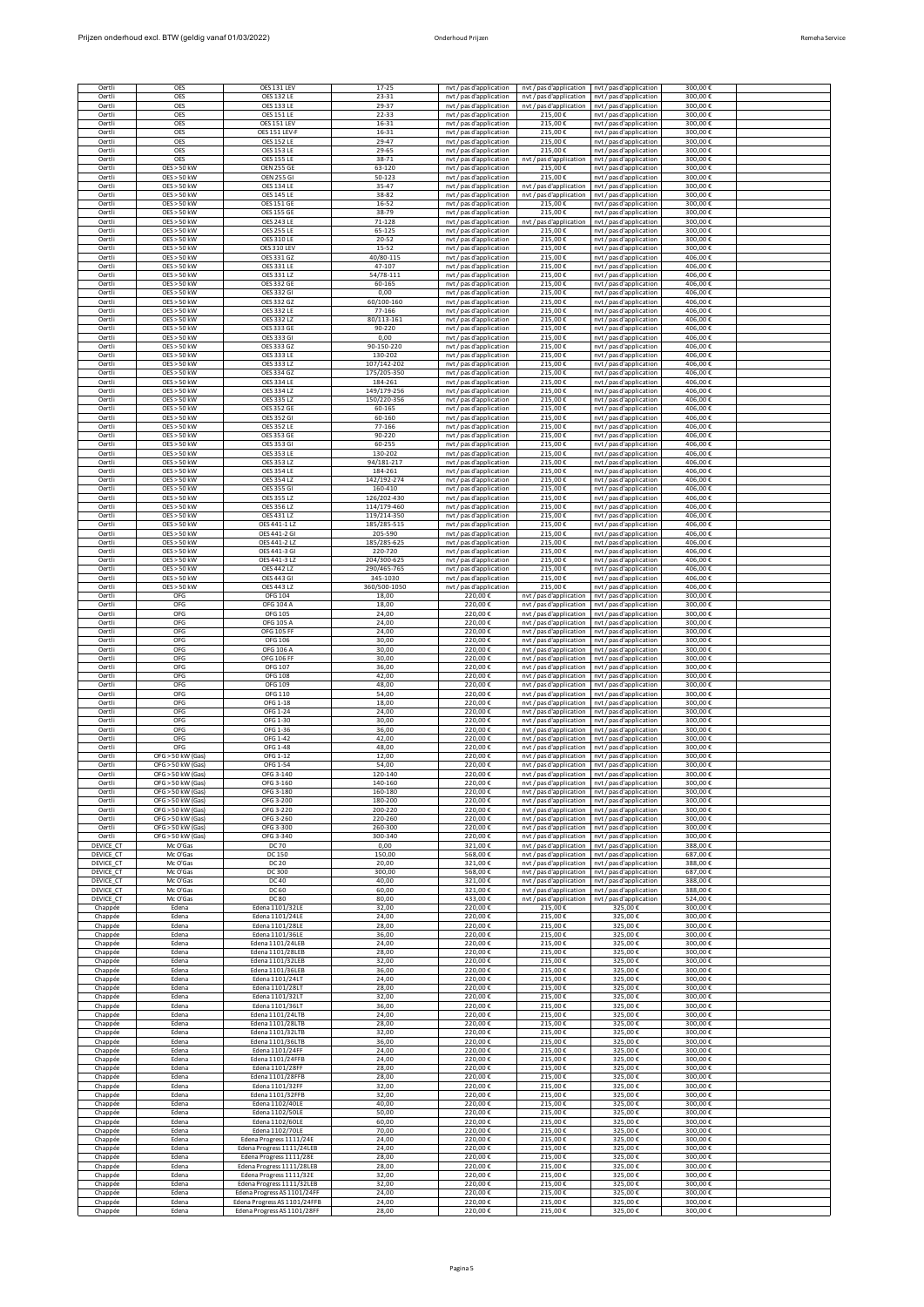| Oertli<br>Oertli       | OES<br>OES                                     | OES 131 LEV<br><b>OES 132 LE</b>                     | 17-25<br>$23 - 31$         | nvt / pas d'application<br>nvt / pas d'application | nvt / pas d'application<br>nyt / pas d'application                         | nvt / pas d'application<br>nvt / pas d'applicatior | 300,00€<br>300,00€    |  |
|------------------------|------------------------------------------------|------------------------------------------------------|----------------------------|----------------------------------------------------|----------------------------------------------------------------------------|----------------------------------------------------|-----------------------|--|
| Oertli                 | OES                                            | <b>OES 133 LE</b>                                    | 29-37                      | nvt / pas d'application                            | nvt / pas d'application                                                    | nvt / pas d'application                            | 300.00€               |  |
| Oertli<br>Oertli       | OES<br>OES                                     | <b>OES 151 LE</b><br>OES 151 LEV                     | 22-33<br>$16 - 31$         | nvt / pas d'application<br>nvt / pas d'application | 215.00€<br>215,00€                                                         | nvt / pas d'application<br>nvt / pas d'application | 300,00€<br>300,00€    |  |
| Oertli                 | <b>OES</b>                                     | OES 151 LEV-F                                        | 16-31                      | nvt / pas d'application                            | 215,00€                                                                    | nvt / pas d'application                            | 300,00€               |  |
| Oertli<br>Oertli       | OES<br>OES                                     | <b>OES 152 LE</b><br><b>OES 153 LE</b>               | 29-47<br>$29 - 65$         | nvt / pas d'application<br>nvt / pas d'application | 215,00€<br>215,00€                                                         | nvt / pas d'application<br>nvt / pas d'application | 300,00€<br>300,00€    |  |
| Oertli                 | OES                                            | <b>OES 155 LE</b>                                    | 38-71                      | nvt / pas d'application                            | nvt / pas d'application                                                    | nvt / pas d'application                            | 300,00€               |  |
| Oertli<br>Oertli       | $OFS > 50$ kW<br><b>OES &gt; 50 kW</b>         | <b>OEN 255 GE</b><br><b>OEN 255 GI</b>               | 63-120<br>50-123           | nvt / pas d'application<br>nvt / pas d'application | 215.00€<br>215,00€                                                         | nyt / pas d'application<br>nvt / pas d'application | 300,00€<br>300,00€    |  |
| Oertli                 | <b>OES &gt; 50 kW</b>                          | <b>OES 134 LE</b>                                    | 35-47                      | nvt / pas d'application                            | nvt / pas d'application                                                    | nvt / pas d'application                            | 300,00€               |  |
| Oertli<br>Oertli       | OES > 50 kW<br>OES > 50 kW                     | <b>OES 145 LE</b><br><b>OES 151 GE</b>               | 38-82<br>16-52             | nvt / pas d'application<br>nvt / pas d'application | nvt / pas d'application<br>215,00€                                         | nvt / pas d'application<br>nvt / pas d'application | 300,00€<br>300,00€    |  |
| Oertli                 | OES > 50 kW                                    | <b>OES 155 GE</b>                                    | 38-79                      | nvt / pas d'application                            | 215,00€                                                                    | nvt / pas d'application                            | 300,00€               |  |
| Oertli<br>Oertli       | OES > 50 kW<br><b>OES &gt; 50 kW</b>           | <b>OES 243 LE</b><br><b>OES 255 LE</b>               | 71-128<br>65-125           | nvt / pas d'application<br>nvt / pas d'application | nvt / pas d'application<br>215,00€                                         | nyt / pas d'application<br>nvt / pas d'application | 300,00€<br>300,00€    |  |
| Oertli                 | $OFS > 50$ kW                                  | <b>OES 310 LE</b>                                    | 20-52                      | nvt / pas d'application                            | 215,00€                                                                    | nvt / pas d'application                            | 300,00€               |  |
| Oertli<br>Oertli       | OES > 50 kW<br>OES > 50 kW                     | OES 310 LEV<br>OES 331 GZ                            | 15-52<br>40/80-115         | nvt / pas d'application<br>nvt / pas d'application | 215,00€<br>215,00€                                                         | nvt / pas d'application<br>nvt / pas d'application | 300,00€<br>406,00€    |  |
| Oertli                 | <b>OES &gt; 50 kW</b>                          | <b>OES 331 LE</b>                                    | 47-107                     | nvt / pas d'application                            | 215,00€                                                                    | nvt / pas d'application                            | 406,00€               |  |
| Oertli<br>Oertli       | <b>OES &gt; 50 kW</b><br>$OFS > 50$ kW         | OES 331 LZ<br><b>OES 332 GE</b>                      | 54/78-111<br>60-165        | nvt / pas d'application<br>nvt / pas d'application | 215.00€<br>215.00€                                                         | nvt / pas d'application<br>nvt / pas d'application | 406,00€<br>406,00€    |  |
| Oertli                 | OES > 50 kW                                    | <b>OES 332 GI</b>                                    | 0,00                       | nvt / pas d'application                            | 215,00€                                                                    | nvt / pas d'application                            | 406,00€               |  |
| Oertli<br>Oertli       | OES > 50 kW<br>OES > 50 kW                     | <b>OES 332 GZ</b><br><b>OES 332 LE</b>               | 60/100-160<br>77-166       | nvt / pas d'application<br>nvt / pas d'application | 215,00€<br>215,00€                                                         | nvt / pas d'application<br>nvt / pas d'application | 406,00€<br>406,00€    |  |
| Oertli                 | OES > 50 kW                                    | OES 332 LZ                                           | 80/113-161                 | nvt / pas d'application                            | 215.00€                                                                    | nvt / pas d'application                            | 406.00€               |  |
| Oertli<br>Oertli       | <b>OES &gt; 50 kW</b><br><b>OES &gt; 50 kW</b> | <b>OES 333 GE</b><br><b>OES 333 GI</b>               | 90-220<br>0.00             | nvt / pas d'application<br>nvt / pas d'application | 215,00€<br>215,00€                                                         | nvt / pas d'application<br>nvt / pas d'application | 406,00€<br>406,00€    |  |
| Oertli                 | OES > 50 kW                                    | OES 333 GZ                                           | 90-150-220                 | nvt / pas d'application                            | 215,00€                                                                    | nvt / pas d'application                            | 406,00€               |  |
| Oertli<br>Oertli       | OES > 50 kW<br>OES > 50 kW                     | <b>OES 333 LE</b><br>OES 333 LZ                      | 130-202<br>107/142-202     | nvt / pas d'application<br>nvt / pas d'application | 215,00€<br>215,00€                                                         | nvt / pas d'application<br>nvt / pas d'application | 406,00€<br>406,00€    |  |
| Oertli                 | <b>OES &gt; 50 kW</b>                          | <b>OES 334 GZ</b>                                    | 175/205-350                | nvt / pas d'application                            | 215.00€                                                                    | nvt / pas d'application                            | 406.00€               |  |
| Oertli<br>Oertli       | <b>OES &gt; 50 kW</b><br>$OFS > 50$ kW         | <b>OES 334 LE</b><br>OES 334 LZ                      | 184-261<br>149/179-256     | nvt / pas d'application<br>nvt / pas d'application | 215,00€<br>215,00€                                                         | nvt / pas d'application<br>nvt / pas d'application | 406,00€<br>406,00€    |  |
| Oertli                 | OES > 50 kW                                    | <b>OES 335 LZ</b>                                    | 150/220-356                | nvt / pas d'application                            | 215,00€                                                                    | nvt / pas d'application                            | 406,00€               |  |
| Oertli<br>Oertli       | OES > 50 kW<br>OES > 50 kW                     | <b>OES 352 GE</b><br><b>OES 352 GI</b>               | 60-165<br>60-160           | nyt / pas d'application<br>nvt / pas d'application | 215,00€<br>215,00€                                                         | nvt / pas d'application<br>nvt / pas d'application | 406,00€<br>406,00€    |  |
| Oertli                 | OES > 50 kW                                    | <b>OES 352 LE</b>                                    | 77-166                     | nvt / pas d'application                            | 215,00€                                                                    | nvt / pas d'application                            | 406,00€               |  |
| Oertli<br>Oertli       | <b>OES &gt; 50 kW</b><br>OES > 50 kW           | <b>OES 353 GE</b><br><b>OES 353 GI</b>               | 90-220<br>60-255           | nvt / pas d'application<br>nvt / pas d'application | 215,00€<br>215,00€                                                         | nvt / pas d'application<br>nvt / pas d'application | 406,00€<br>406,00€    |  |
| Oertli                 | OES > 50 kW<br><b>OES &gt; 50 kW</b>           | <b>OES 353 LE</b>                                    | 130-202<br>94/181-217      | nvt / pas d'application                            | 215,00€                                                                    | nvt / pas d'application                            | 406,00€<br>406,00€    |  |
| Oertli<br>Oertli       | OES > 50 kW                                    | OES 353 LZ<br><b>OES 354 LE</b>                      | 184-261                    | nvt / pas d'application<br>nvt / pas d'application | 215,00€<br>215,00€                                                         | nvt / pas d'application<br>nvt / pas d'application | 406,00€               |  |
| Oertli<br>Oertli       | <b>OES &gt; 50 kW</b><br>OES > 50 kW           | <b>OES 354 LZ</b><br><b>OES 355 GI</b>               | 142/192-274<br>160-410     | nvt / pas d'application<br>nvt / pas d'application | 215.00€<br>215,00€                                                         | nvt / pas d'application<br>nvt / pas d'application | 406.00 $f$<br>406,00€ |  |
| Oertli                 | <b>OES &gt; 50 kW</b>                          | OES 355 LZ                                           | 126/202-430                | nvt / pas d'application                            | 215.00€                                                                    | nvt / pas d'application                            | 406,00€               |  |
| Oertli<br>Oertli       | OES > 50 kW<br>OES > 50 kW                     | OES 356 LZ<br>OES 431 LZ                             | 114/179-460<br>119/214-350 | nvt / pas d'application<br>nvt / pas d'application | 215,00€<br>215,00€                                                         | nvt / pas d'application<br>nvt / pas d'application | 406.00€<br>406,00€    |  |
| Oertli                 | OES > 50 kW                                    | OES 441-1 LZ                                         | 185/285-515                | nvt / pas d'application                            | 215.00€                                                                    | nvt / pas d'application                            | 406.00€               |  |
| Oertli<br>Oertli       | OES > 50 kW<br>OES > 50 kW                     | OES 441-2 GI<br>OES 441-2 LZ                         | 205-590<br>185/285-625     | nvt / pas d'application<br>nvt / pas d'application | 215.00€<br>215.00€                                                         | nvt / pas d'application<br>nvt / pas d'application | 406,00€<br>406,00€    |  |
| Oertli                 | OES > 50 kW                                    | OES 441-3 GI                                         | 220-720                    | nvt / pas d'application                            | 215,00€                                                                    | nvt / pas d'application                            | 406,00€               |  |
| Oertli<br>Oertli       | OES > 50 kW<br>OES > 50 kW                     | OES 441-3 LZ<br>OES 442 LZ                           | 204/300-625<br>290/465-765 | nvt / pas d'application<br>nvt / pas d'application | 215,00€<br>215,00€                                                         | nvt / pas d'application<br>nvt / pas d'application | 406,00€<br>406,00€    |  |
| Oertli                 | OES > 50 kW                                    | <b>OES 443 GI</b>                                    | 345-1030                   | nvt / pas d'application                            | 215,00€                                                                    | nvt / pas d'application                            | 406,00€               |  |
| Oertli<br>Oertli       | <b>OES &gt; 50 kW</b><br>OFG                   | OES 443 LZ<br>OFG 104                                | 360/500-1050<br>18,00      | nvt / pas d'application<br>220,00€                 | 215.00€<br>nvt / pas d'application                                         | nvt / pas d'application<br>nvt / pas d'application | 406,00€<br>300,00€    |  |
| Oertli                 | OFG                                            | OFG 104 A                                            | 18,00                      | 220,00€                                            | nvt / pas d'application                                                    | nvt / pas d'application                            | 300,00€               |  |
| Oertli<br>Oertli       | OFG<br>OFG                                     | OFG 105<br>OFG 105 A                                 | 24,00<br>24,00             | 220,00€<br>220,00€                                 | nvt / pas d'application<br>nvt / pas d'application                         | nvt / pas d'application<br>nvt / pas d'application | 300,00€<br>300,00€    |  |
| Oertli                 | OFG                                            | <b>OFG 105 FF</b>                                    | 24.00                      | 220,00€                                            | nvt / pas d'application                                                    | nvt / pas d'application                            | 300,00€               |  |
| Oertli<br>Oertli       | OFG<br>OFG                                     | OFG 106<br>OFG 106 A                                 | 30,00<br>30,00             | 220,00€<br>220,00€                                 | nvt / pas d'application<br>nvt / pas d'application                         | nvt / pas d'application<br>nvt / pas d'application | 300,00€<br>300,00€    |  |
| Oertli                 | OFG                                            | OFG 106 FF                                           | 30,00                      | 220,00€                                            | nvt / pas d'application                                                    | nvt / pas d'application                            | 300,00€               |  |
| Oertli<br>Oertli       | OFG<br>OFG                                     | OFG 107<br><b>OFG 108</b>                            | 36,00<br>42,00             | 220,00€<br>220,00€                                 | nvt / pas d'application<br>nvt / pas d'application                         | nvt / pas d'application<br>nvt / pas d'application | 300,00€<br>300,00€    |  |
| Oertli                 | OFG                                            | OFG 109                                              | 48,00                      | 220.00€                                            | nvt / pas d'application                                                    | nvt / pas d'application                            | 300,00€               |  |
| Oertli<br>Oertli       | OFG<br>OFG                                     | OFG 110<br>OFG 1-18                                  | 54,00<br>18,00             | 220,00€<br>220,00€                                 | nvt / pas d'application<br>nvt / pas d'application                         | nvt / pas d'application<br>nvt / pas d'application | 300,00€<br>300,00€    |  |
| Oertli                 | OFG                                            | OFG 1-24                                             | 24,00                      | 220,00€                                            | nvt / pas d'application                                                    | nvt / pas d'application                            | 300,00€               |  |
| Oertli<br>Oertli       | OFG<br>OFG                                     | OFG 1-30<br>OFG 1-36                                 | 30,00<br>36,00             | 220,00€<br>220,00€                                 | nvt / pas d'application<br>nvt / pas d'application                         | nvt / pas d'application<br>nvt / pas d'application | 300,00€<br>300,00€    |  |
| Oertli<br>Oertli       | OFG<br>OFG                                     | OFG 1-42<br>OFG 1-48                                 | 42.00<br>48,00             | 220.00€<br>220,00€                                 | nyt / pas d'application<br>nvt / pas d'application                         | nyt / pas d'application<br>nvt / pas d'application | 300.00€<br>300,00€    |  |
| Oertli                 | OFG > 50 kW (Gas)                              | OFG 1-12                                             | 12,00                      | 220.00€                                            | nvt / pas d'application                                                    | nvt / pas d'application                            | 300,00€               |  |
| Oertli<br>Oertli       | OFG > 50 kW (Gas)<br>OFG > 50 kW (Gas)         | OFG 1-54<br>OFG 3-140                                | 54,00<br>120-140           | 220,00€<br>220,00€                                 | nvt / pas d'application<br>nvt / pas d'application nvt / pas d'application | nvt / pas d'application                            | 300,00€<br>300,00€    |  |
| Oertli                 | OFG > 50 kW (Gas)                              | OFG 3-160                                            | 140-160                    | 220,00€                                            | nvt / pas d'application                                                    | nvt / pas d'application                            | 300,00€               |  |
| Oertli<br>Oertli       | OFG > 50 kW (Gas)<br>OFG > 50 kW (Gas)         | OFG 3-180<br>OFG 3-200                               | 160-180<br>180-200         | 220.00€<br>220,00€                                 | nvt / pas d'application<br>nvt / pas d'application                         | nvt / pas d'application<br>nvt / pas d'application | 300.00 $f$<br>300,00€ |  |
| Oertli                 | OFG > 50 kW (Gas)                              | OFG 3-220                                            | 200-220                    | 220,00€                                            | nvt / pas d'application                                                    | nvt / pas d'application                            | 300,00€               |  |
| Oertli<br>Oertli       | OFG > 50 kW (Gas)<br>OFG > 50 kW (Gas)         | OFG 3-260<br>OFG 3-300                               | 220-260<br>260-300         | 220,00€<br>220,00€                                 | nvt / pas d'application<br>nvt / pas d'application                         | nvt / pas d'application<br>nvt / pas d'application | 300,00€<br>300,00€    |  |
| Oertli<br>DEVICE CT    | OFG > 50 kW (Gas)<br>Mc O'Gas                  | OEG 3-340<br><b>DC 70</b>                            | 300-340<br>0,00            | 220,00€<br>321,00€                                 | nvt / pas d'application                                                    | nvt / pas d'application                            | 300,00€<br>388.00€    |  |
| DEVICE_CT              | Mc O'Gas                                       | DC 150                                               | 150,00                     | 568,00€                                            | nvt / pas d'application<br>nvt / pas d'application                         | nvt / pas d'application<br>nvt / pas d'application | 687,00€               |  |
| DEVICE CT              | Mc O'Gas                                       | <b>DC 20</b>                                         | 20,00                      | 321,00€                                            | nvt / pas d'application                                                    | nvt / pas d'application                            | 388,00€               |  |
| DEVICE_CT<br>DEVICE_CT | Mc O'Gas<br>Mc O'Gas                           | DC 300<br>DC 40                                      | 300,00<br>40,00            | 568,00€<br>321,00€                                 | nvt / pas d'application<br>nvt / pas d'application                         | nvt / pas d'application<br>nvt / pas d'application | 687,00€<br>388,00€    |  |
| DEVICE_CT<br>DEVICE CT | Mc O'Gas<br>Mc O'Gas                           | <b>DC 60</b><br><b>DC 80</b>                         | 60,00<br>80,00             | 321,00€<br>433,00€                                 | nvt / pas d'application<br>nvt / pas d'application                         | nvt / pas d'application<br>nvt / pas d'application | 388,00€<br>524,00€    |  |
| Chappée                | Edena                                          | Edena 1101/32LE                                      | 32,00                      | 220,00€                                            | 215,00€                                                                    | 325,00€                                            | 300,00€               |  |
| Chappée<br>Chappée     | Edena<br>Edena                                 | Edena 1101/24LE<br>Edena 1101/28LE                   | 24,00<br>28,00             | 220,00€<br>220,00€                                 | 215,00€<br>215,00€                                                         | 325,00€<br>325,00€                                 | 300,00€<br>300,00€    |  |
| Chappée                | Edena                                          | Edena 1101/36LE                                      | 36,00                      | 220,00€                                            | 215,00€                                                                    | 325,00€                                            | 300,00€               |  |
| Chappée<br>Chappée     | Edena<br>Edena                                 | Edena 1101/24LEB<br>Edena 1101/28LEB                 | 24,00<br>28,00             | 220,00€<br>220,00€                                 | 215.00€<br>215,00€                                                         | 325,00€<br>325,00€                                 | 300,00€<br>300,00€    |  |
| Chappée                | Edena                                          | Edena 1101/32LEB                                     | 32,00                      | 220,00€                                            | 215.00f                                                                    | 325,00€                                            | 300.00€               |  |
| Chappée<br>Chappée     | Edena<br>Edena                                 | Edena 1101/36LEB<br>Edena 1101/24LT                  | 36,00<br>24,00             | 220,00€<br>220,00€                                 | 215,00€<br>215,00€                                                         | 325,00€<br>325,00€                                 | 300,00€<br>300,00€    |  |
| Chappée                | Edena                                          | Edena 1101/28LT                                      | 28,00                      | 220,00€                                            | 215,00€                                                                    | 325,00€                                            | 300,00€               |  |
| Chappée<br>Chappée     | Edena<br>Edena                                 | Edena 1101/32LT<br>Edena 1101/36LT                   | 32,00<br>36,00             | 220,00€<br>220,00€                                 | 215.00€<br>215,00€                                                         | 325,00€<br>325,00€                                 | 300.00€<br>300,00€    |  |
| Chappée<br>Chappée     | Edena<br>Edena                                 | Edena 1101/24LTB<br>Edena 1101/28LTB                 | 24,00<br>28,00             | 220,00€<br>220,00€                                 | 215,00€<br>215,00€                                                         | 325,00€<br>325,00€                                 | 300,00€<br>300,00€    |  |
| Chappée                | Edena                                          | Edena 1101/32LTB                                     | 32,00                      | 220,00€                                            | 215,00€                                                                    | 325,00€                                            | 300,00€               |  |
| Chappée<br>Chappée     | Edena<br>Edena                                 | Edena 1101/36LTB<br>Edena 1101/24FF                  | 36,00<br>24.00             | 220,00€<br>220,00€                                 | 215,00€<br>215.00€                                                         | 325,00€<br>325,00€                                 | 300,00€<br>300,00€    |  |
| Chappée                | Edena                                          | Edena 1101/24FFB                                     | 24,00                      | 220,00€                                            | 215,00€                                                                    | 325,00€                                            | 300,00€               |  |
| Chappée<br>Chappée     | Edena<br>Edena                                 | Edena 1101/28FF<br>Edena 1101/28FFB                  | 28,00<br>28,00             | 220,00€<br>220,00€                                 | 215,00€<br>215,00€                                                         | 325,00€<br>325,00€                                 | 300,00€<br>300,00€    |  |
| Chappée                | Edena                                          | Edena 1101/32FF                                      | 32,00                      | 220,00€                                            | 215,00€                                                                    | 325,00€                                            | 300,00€               |  |
| Chappée<br>Chappée     | Edena<br>Edena                                 | Edena 1101/32FFB<br>Edena 1102/40LE                  | 32,00<br>40,00             | 220,00€<br>220,00€                                 | 215,00€<br>215,00€                                                         | 325,00€<br>325,00€                                 | 300,00€<br>300,00€    |  |
| Chappée                | Edena                                          | Edena 1102/50LE                                      | 50,00                      | 220,00€                                            | 215.00€                                                                    | 325,00€                                            | 300,00€               |  |
| Chappée<br>Chappée     | Edena<br>Edena                                 | Edena 1102/60LE<br>Edena 1102/70LE                   | 60,00<br>70,00             | 220,00€<br>220,00€                                 | 215,00€<br>215,00€                                                         | 325,00€<br>325,00€                                 | 300,00€<br>300,00€    |  |
| Chappée                | Edena                                          | Edena Progress 1111/24E                              | 24,00                      | 220,00€                                            | 215,00€                                                                    | 325,00€                                            | 300,00€               |  |
| Chappée<br>Chappée     | Edena<br>Edena                                 | Edena Progress 1111/24LEB<br>Edena Progress 1111/28E | 24,00<br>28,00             | 220,00€<br>220,00€                                 | 215,00€<br>215.00€                                                         | 325,00€<br>325,00€                                 | 300,00€<br>300.00€    |  |
| Chappée<br>Chappée     | Edena<br>Edena                                 | Edena Progress 1111/28LEB<br>Edena Progress 1111/32E | 28,00<br>32,00             | 220,00€<br>220,00€                                 | 215,00€<br>215.00€                                                         | 325,00€<br>325.00€                                 | 300,00€<br>300,00€    |  |
| Chappée                | Edena                                          | Edena Progress 1111/32LEB                            | 32,00                      | 220,00€                                            | 215,00€                                                                    | 325,00€                                            | 300,00€               |  |
| Chappée                | Edena                                          | Edena Progress AS 1101/24FF                          | 24,00                      | 220,00€                                            | 215,00€                                                                    | 325,00€                                            | 300,00€               |  |

Chappée | Edena | Edena Progress AS 1101/24FFB | 24,00 | 220,00 € 215,00 € | 325,00 € | 300,00 € Chappée | Edena | Edena Progress AS 1101/28FF | 28,00 | 220,00 € 215,00 € | 325,00 € | 300,00 €